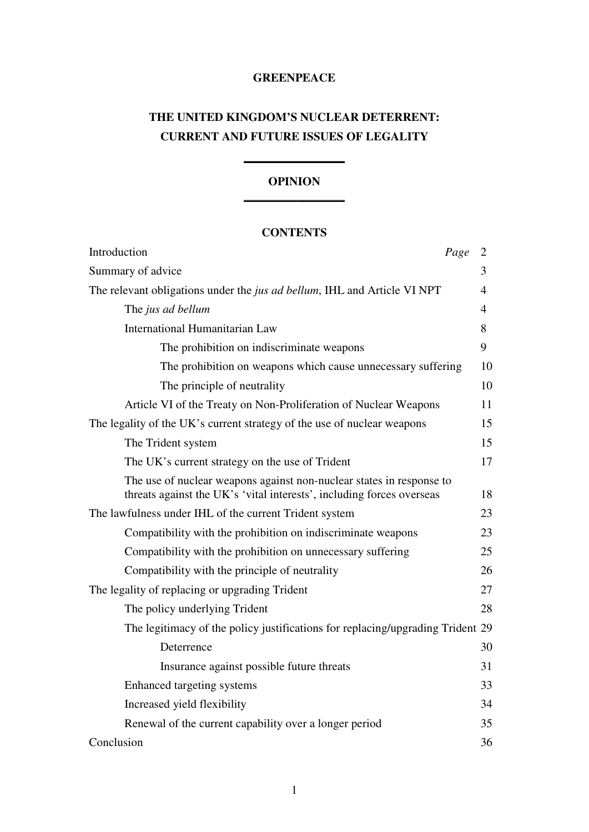#### **GREENPEACE**

# **THE UNITED KINGDOM'S NUCLEAR DETERRENT: CURRENT AND FUTURE ISSUES OF LEGALITY**

## **OPINION \_\_\_\_\_\_\_\_\_\_\_\_\_\_\_\_\_**

**\_\_\_\_\_\_\_\_\_\_\_\_\_\_\_\_\_**

## **CONTENTS**

| Introduction                                                                                                                                  | Page | $\overline{2}$ |
|-----------------------------------------------------------------------------------------------------------------------------------------------|------|----------------|
| Summary of advice                                                                                                                             |      | 3              |
| The relevant obligations under the <i>jus ad bellum</i> , IHL and Article VI NPT                                                              |      | $\overline{4}$ |
| The jus ad bellum                                                                                                                             |      | 4              |
| <b>International Humanitarian Law</b>                                                                                                         |      | 8              |
| The prohibition on indiscriminate weapons                                                                                                     |      | 9              |
| The prohibition on weapons which cause unnecessary suffering                                                                                  |      | 10             |
| The principle of neutrality                                                                                                                   |      | 10             |
| Article VI of the Treaty on Non-Proliferation of Nuclear Weapons                                                                              |      | 11             |
| The legality of the UK's current strategy of the use of nuclear weapons                                                                       |      | 15             |
| The Trident system                                                                                                                            |      | 15             |
| The UK's current strategy on the use of Trident                                                                                               |      | 17             |
| The use of nuclear weapons against non-nuclear states in response to<br>threats against the UK's 'vital interests', including forces overseas |      | 18             |
| The lawfulness under IHL of the current Trident system                                                                                        |      | 23             |
| Compatibility with the prohibition on indiscriminate weapons                                                                                  |      | 23             |
| Compatibility with the prohibition on unnecessary suffering                                                                                   |      | 25             |
| Compatibility with the principle of neutrality                                                                                                |      | 26             |
| The legality of replacing or upgrading Trident                                                                                                |      | 27             |
| The policy underlying Trident                                                                                                                 |      | 28             |
| The legitimacy of the policy justifications for replacing/upgrading Trident 29                                                                |      |                |
| Deterrence                                                                                                                                    |      | 30             |
| Insurance against possible future threats                                                                                                     |      | 31             |
| Enhanced targeting systems                                                                                                                    |      | 33             |
| Increased yield flexibility                                                                                                                   |      | 34             |
| Renewal of the current capability over a longer period                                                                                        |      | 35             |
| Conclusion                                                                                                                                    |      | 36             |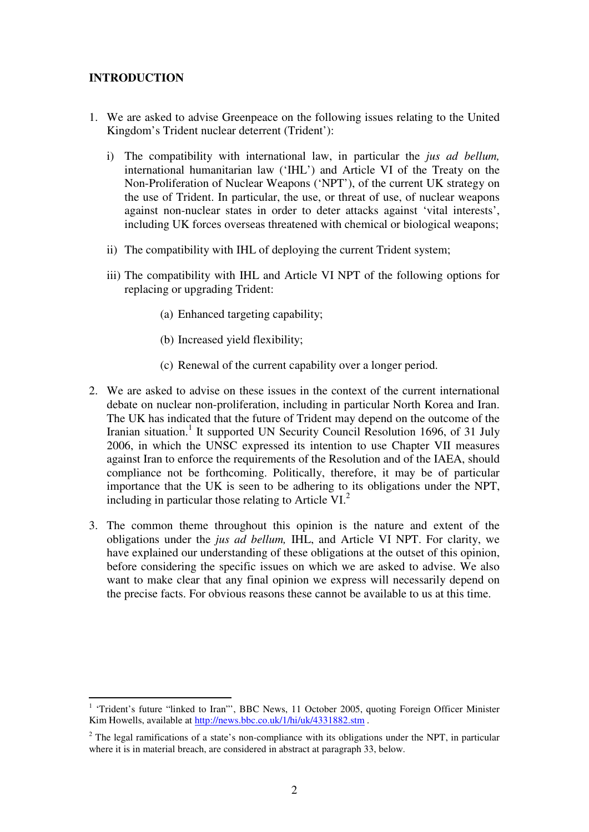## **INTRODUCTION**

- 1. We are asked to advise Greenpeace on the following issues relating to the United Kingdom's Trident nuclear deterrent (Trident'):
	- i) The compatibility with international law, in particular the *jus ad bellum,* international humanitarian law ('IHL') and Article VI of the Treaty on the Non-Proliferation of Nuclear Weapons ('NPT'), of the current UK strategy on the use of Trident. In particular, the use, or threat of use, of nuclear weapons against non-nuclear states in order to deter attacks against 'vital interests', including UK forces overseas threatened with chemical or biological weapons;
	- ii) The compatibility with IHL of deploying the current Trident system;
	- iii) The compatibility with IHL and Article VI NPT of the following options for replacing or upgrading Trident:
		- (a) Enhanced targeting capability;
		- (b) Increased yield flexibility;
		- (c) Renewal of the current capability over a longer period.
- 2. We are asked to advise on these issues in the context of the current international debate on nuclear non-proliferation, including in particular North Korea and Iran. The UK has indicated that the future of Trident may depend on the outcome of the Iranian situation.<sup>1</sup> It supported UN Security Council Resolution 1696, of 31 July 2006, in which the UNSC expressed its intention to use Chapter VII measures against Iran to enforce the requirements of the Resolution and of the IAEA, should compliance not be forthcoming. Politically, therefore, it may be of particular importance that the UK is seen to be adhering to its obligations under the NPT, including in particular those relating to Article VI. $<sup>2</sup>$ </sup>
- 3. The common theme throughout this opinion is the nature and extent of the obligations under the *jus ad bellum,* IHL, and Article VI NPT. For clarity, we have explained our understanding of these obligations at the outset of this opinion, before considering the specific issues on which we are asked to advise. We also want to make clear that any final opinion we express will necessarily depend on the precise facts. For obvious reasons these cannot be available to us at this time.

<sup>&</sup>lt;sup>1</sup> 'Trident's future "linked to Iran"', BBC News, 11 October 2005, quoting Foreign Officer Minister Kim Howells, available at http://news.bbc.co.uk/1/hi/uk/4331882.stm .

 $2$  The legal ramifications of a state's non-compliance with its obligations under the NPT, in particular where it is in material breach, are considered in abstract at paragraph 33, below.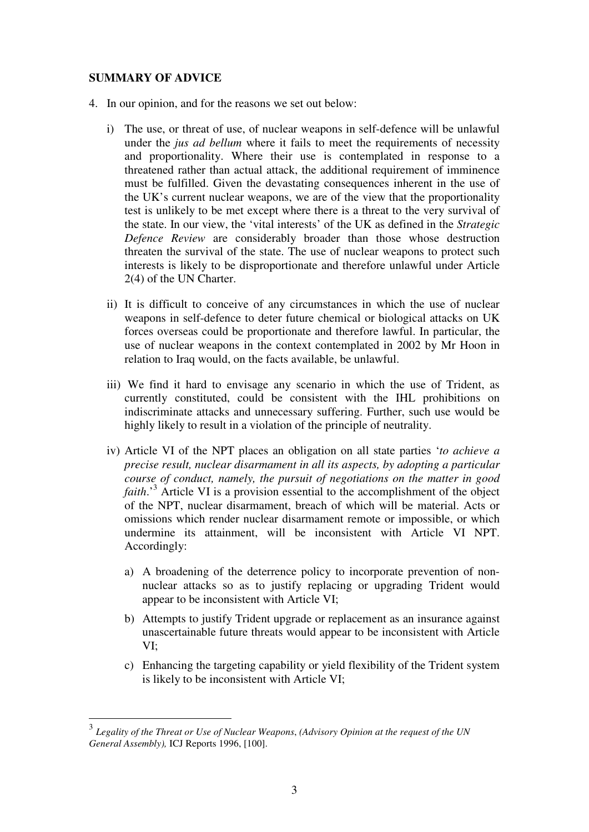## **SUMMARY OF ADVICE**

- 4. In our opinion, and for the reasons we set out below:
	- i) The use, or threat of use, of nuclear weapons in self-defence will be unlawful under the *jus ad bellum* where it fails to meet the requirements of necessity and proportionality. Where their use is contemplated in response to a threatened rather than actual attack, the additional requirement of imminence must be fulfilled. Given the devastating consequences inherent in the use of the UK's current nuclear weapons, we are of the view that the proportionality test is unlikely to be met except where there is a threat to the very survival of the state. In our view, the 'vital interests' of the UK as defined in the *Strategic Defence Review* are considerably broader than those whose destruction threaten the survival of the state. The use of nuclear weapons to protect such interests is likely to be disproportionate and therefore unlawful under Article 2(4) of the UN Charter.
	- ii) It is difficult to conceive of any circumstances in which the use of nuclear weapons in self-defence to deter future chemical or biological attacks on UK forces overseas could be proportionate and therefore lawful. In particular, the use of nuclear weapons in the context contemplated in 2002 by Mr Hoon in relation to Iraq would, on the facts available, be unlawful.
	- iii) We find it hard to envisage any scenario in which the use of Trident, as currently constituted, could be consistent with the IHL prohibitions on indiscriminate attacks and unnecessary suffering. Further, such use would be highly likely to result in a violation of the principle of neutrality.
	- iv) Article VI of the NPT places an obligation on all state parties '*to achieve a precise result, nuclear disarmament in all its aspects, by adopting a particular course of conduct, namely, the pursuit of negotiations on the matter in good faith*.'<sup>3</sup> Article VI is a provision essential to the accomplishment of the object of the NPT, nuclear disarmament, breach of which will be material. Acts or omissions which render nuclear disarmament remote or impossible, or which undermine its attainment, will be inconsistent with Article VI NPT. Accordingly:
		- a) A broadening of the deterrence policy to incorporate prevention of nonnuclear attacks so as to justify replacing or upgrading Trident would appear to be inconsistent with Article VI;
		- b) Attempts to justify Trident upgrade or replacement as an insurance against unascertainable future threats would appear to be inconsistent with Article VI;
		- c) Enhancing the targeting capability or yield flexibility of the Trident system is likely to be inconsistent with Article VI;

<sup>3</sup> *Legality of the Threat or Use of Nuclear Weapons*, *(Advisory Opinion at the request of the UN General Assembly),* ICJ Reports 1996, [100].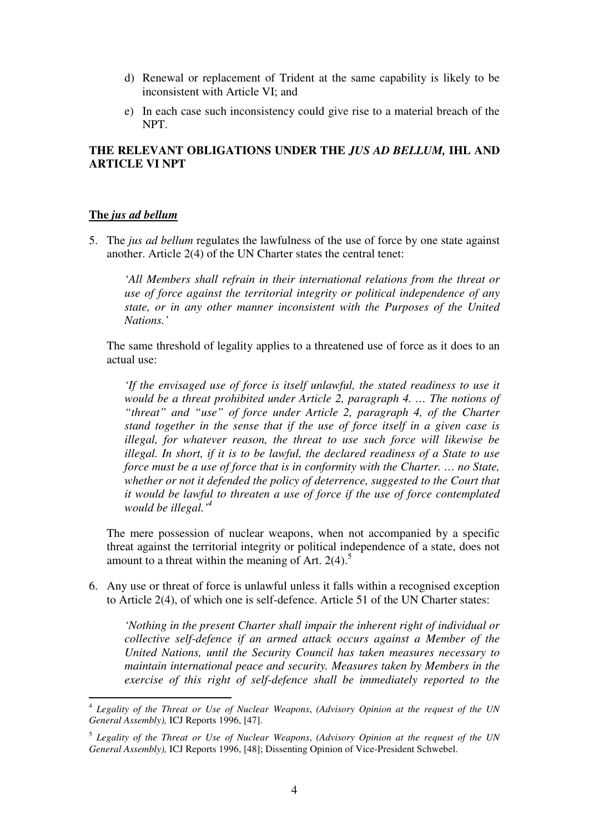- d) Renewal or replacement of Trident at the same capability is likely to be inconsistent with Article VI; and
- e) In each case such inconsistency could give rise to a material breach of the NPT.

## **THE RELEVANT OBLIGATIONS UNDER THE** *JUS AD BELLUM,* **IHL AND ARTICLE VI NPT**

### **The** *jus ad bellum*

5. The *jus ad bellum* regulates the lawfulness of the use of force by one state against another. Article 2(4) of the UN Charter states the central tenet:

*'All Members shall refrain in their international relations from the threat or use of force against the territorial integrity or political independence of any state, or in any other manner inconsistent with the Purposes of the United Nations.'* 

The same threshold of legality applies to a threatened use of force as it does to an actual use:

*'If the envisaged use of force is itself unlawful, the stated readiness to use it would be a threat prohibited under Article 2, paragraph 4. … The notions of "threat" and "use" of force under Article 2, paragraph 4, of the Charter stand together in the sense that if the use of force itself in a given case is illegal, for whatever reason, the threat to use such force will likewise be illegal. In short, if it is to be lawful, the declared readiness of a State to use force must be a use of force that is in conformity with the Charter. … no State, whether or not it defended the policy of deterrence, suggested to the Court that it would be lawful to threaten a use of force if the use of force contemplated would be illegal.'<sup>4</sup>*

The mere possession of nuclear weapons, when not accompanied by a specific threat against the territorial integrity or political independence of a state, does not amount to a threat within the meaning of Art.  $2(4)$ .<sup>5</sup>

6. Any use or threat of force is unlawful unless it falls within a recognised exception to Article 2(4), of which one is self-defence. Article 51 of the UN Charter states:

*'Nothing in the present Charter shall impair the inherent right of individual or collective self-defence if an armed attack occurs against a Member of the United Nations, until the Security Council has taken measures necessary to maintain international peace and security. Measures taken by Members in the exercise of this right of self-defence shall be immediately reported to the* 

 4 *Legality of the Threat or Use of Nuclear Weapons*, *(Advisory Opinion at the request of the UN General Assembly),* ICJ Reports 1996, [47].

<sup>5</sup> *Legality of the Threat or Use of Nuclear Weapons*, *(Advisory Opinion at the request of the UN General Assembly),* ICJ Reports 1996, [48]; Dissenting Opinion of Vice-President Schwebel.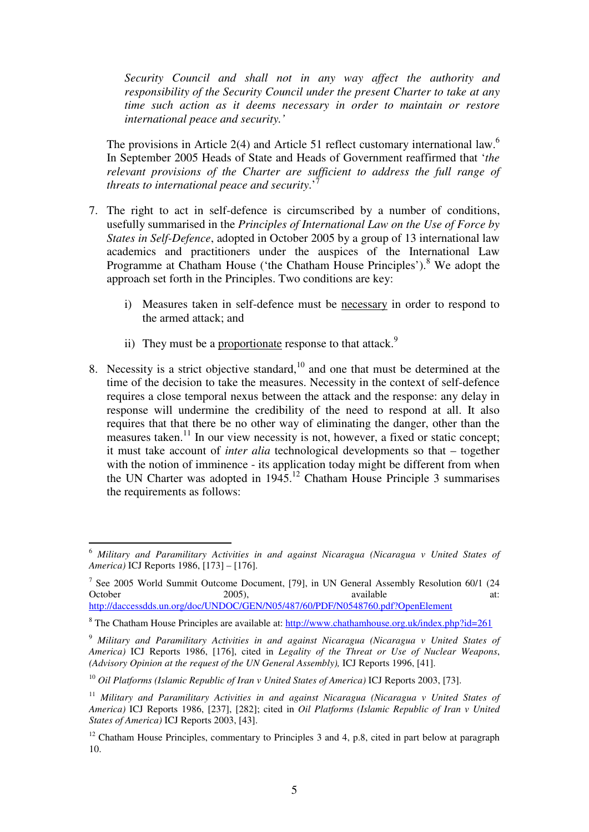*Security Council and shall not in any way affect the authority and responsibility of the Security Council under the present Charter to take at any time such action as it deems necessary in order to maintain or restore international peace and security.'* 

The provisions in Article 2(4) and Article 51 reflect customary international law.<sup>6</sup> In September 2005 Heads of State and Heads of Government reaffirmed that '*the relevant provisions of the Charter are sufficient to address the full range of threats to international peace and security*.'<sup>7</sup>

- 7. The right to act in self-defence is circumscribed by a number of conditions, usefully summarised in the *Principles of International Law on the Use of Force by States in Self-Defence*, adopted in October 2005 by a group of 13 international law academics and practitioners under the auspices of the International Law Programme at Chatham House ('the Chatham House Principles').<sup>8</sup> We adopt the approach set forth in the Principles. Two conditions are key:
	- i) Measures taken in self-defence must be necessary in order to respond to the armed attack; and
	- ii) They must be a proportionate response to that attack.<sup>9</sup>
- 8. Necessity is a strict objective standard, $10$  and one that must be determined at the time of the decision to take the measures. Necessity in the context of self-defence requires a close temporal nexus between the attack and the response: any delay in response will undermine the credibility of the need to respond at all. It also requires that that there be no other way of eliminating the danger, other than the measures taken.<sup>11</sup> In our view necessity is not, however, a fixed or static concept; it must take account of *inter alia* technological developments so that – together with the notion of imminence - its application today might be different from when the UN Charter was adopted in  $1945$ <sup>12</sup> Chatham House Principle 3 summarises the requirements as follows:

<sup>6</sup> *Military and Paramilitary Activities in and against Nicaragua (Nicaragua v United States of America)* ICJ Reports 1986, [173] – [176].

<sup>&</sup>lt;sup>7</sup> See 2005 World Summit Outcome Document, [79], in UN General Assembly Resolution 60/1 (24 October 2005), available at: http://daccessdds.un.org/doc/UNDOC/GEN/N05/487/60/PDF/N0548760.pdf?OpenElement

<sup>&</sup>lt;sup>8</sup> The Chatham House Principles are available at: http://www.chathamhouse.org.uk/index.php?id=261

<sup>9</sup> *Military and Paramilitary Activities in and against Nicaragua (Nicaragua v United States of America)* ICJ Reports 1986, [176], cited in *Legality of the Threat or Use of Nuclear Weapons*, *(Advisory Opinion at the request of the UN General Assembly),* ICJ Reports 1996, [41].

<sup>10</sup> *Oil Platforms (Islamic Republic of Iran v United States of America)* ICJ Reports 2003, [73].

<sup>11</sup> *Military and Paramilitary Activities in and against Nicaragua (Nicaragua v United States of America)* ICJ Reports 1986, [237], [282]; cited in *Oil Platforms (Islamic Republic of Iran v United States of America)* ICJ Reports 2003, [43].

 $12$  Chatham House Principles, commentary to Principles 3 and 4, p.8, cited in part below at paragraph 10.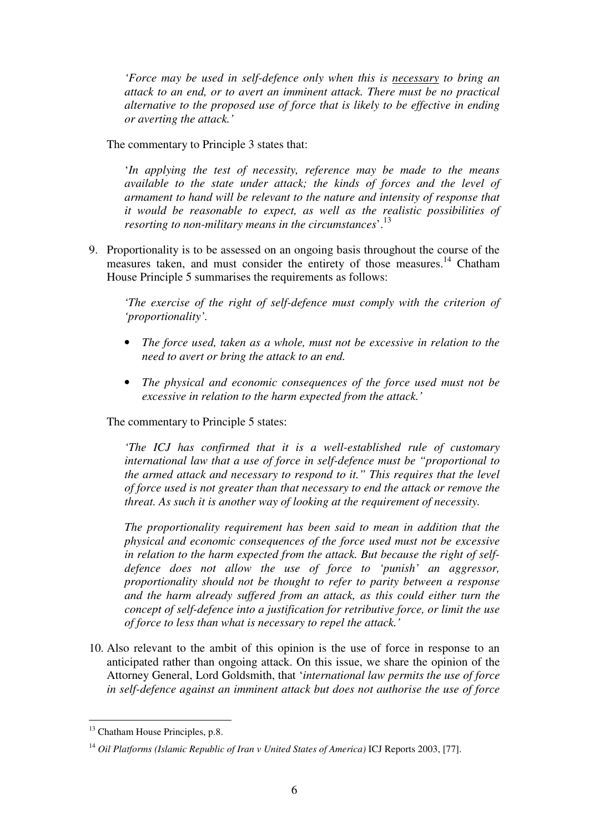*'Force may be used in self-defence only when this is necessary to bring an attack to an end, or to avert an imminent attack. There must be no practical alternative to the proposed use of force that is likely to be effective in ending or averting the attack.'*

The commentary to Principle 3 states that:

'*In applying the test of necessity, reference may be made to the means available to the state under attack; the kinds of forces and the level of armament to hand will be relevant to the nature and intensity of response that it would be reasonable to expect, as well as the realistic possibilities of resorting to non-military means in the circumstances*'.<sup>13</sup>

9. Proportionality is to be assessed on an ongoing basis throughout the course of the measures taken, and must consider the entirety of those measures.<sup>14</sup> Chatham House Principle 5 summarises the requirements as follows:

*The exercise of the right of self-defence must comply with the criterion of 'proportionality'.* 

- *The force used, taken as a whole, must not be excessive in relation to the need to avert or bring the attack to an end.*
- *The physical and economic consequences of the force used must not be excessive in relation to the harm expected from the attack.'*

The commentary to Principle 5 states:

*'The ICJ has confirmed that it is a well-established rule of customary international law that a use of force in self-defence must be "proportional to the armed attack and necessary to respond to it." This requires that the level of force used is not greater than that necessary to end the attack or remove the threat. As such it is another way of looking at the requirement of necessity.* 

*The proportionality requirement has been said to mean in addition that the physical and economic consequences of the force used must not be excessive in relation to the harm expected from the attack. But because the right of selfdefence does not allow the use of force to 'punish' an aggressor, proportionality should not be thought to refer to parity between a response and the harm already suffered from an attack, as this could either turn the concept of self-defence into a justification for retributive force, or limit the use of force to less than what is necessary to repel the attack.'* 

10. Also relevant to the ambit of this opinion is the use of force in response to an anticipated rather than ongoing attack. On this issue, we share the opinion of the Attorney General, Lord Goldsmith, that '*international law permits the use of force in self-defence against an imminent attack but does not authorise the use of force* 

<sup>&</sup>lt;u>.</u> <sup>13</sup> Chatham House Principles, p.8.

<sup>14</sup> *Oil Platforms (Islamic Republic of Iran v United States of America)* ICJ Reports 2003, [77].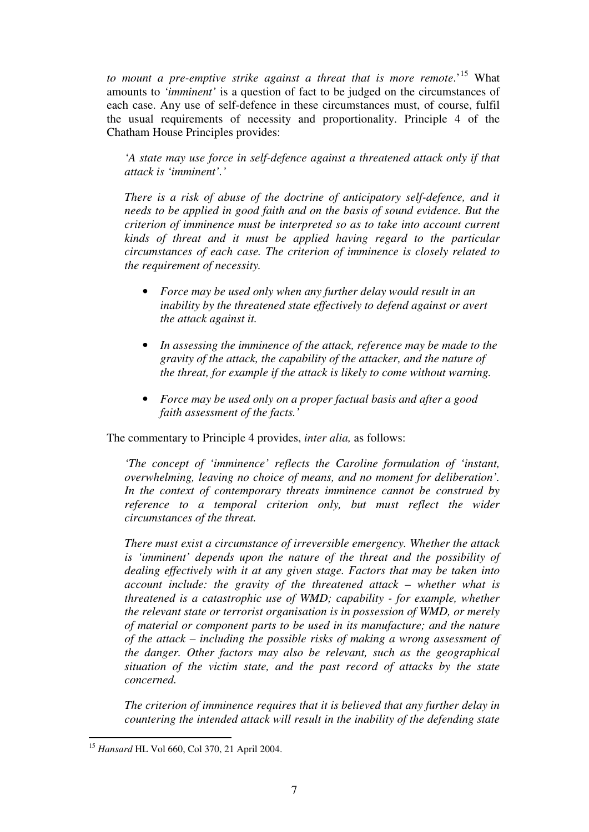*to mount a pre-emptive strike against a threat that is more remote*.'<sup>15</sup> What amounts to *'imminent'* is a question of fact to be judged on the circumstances of each case. Any use of self-defence in these circumstances must, of course, fulfil the usual requirements of necessity and proportionality. Principle 4 of the Chatham House Principles provides:

*'A state may use force in self-defence against a threatened attack only if that attack is 'imminent'.'* 

*There is a risk of abuse of the doctrine of anticipatory self-defence, and it needs to be applied in good faith and on the basis of sound evidence. But the criterion of imminence must be interpreted so as to take into account current kinds of threat and it must be applied having regard to the particular circumstances of each case. The criterion of imminence is closely related to the requirement of necessity.* 

- *Force may be used only when any further delay would result in an inability by the threatened state effectively to defend against or avert the attack against it.*
- *In assessing the imminence of the attack, reference may be made to the gravity of the attack, the capability of the attacker, and the nature of the threat, for example if the attack is likely to come without warning.*
- *Force may be used only on a proper factual basis and after a good faith assessment of the facts.'*

The commentary to Principle 4 provides, *inter alia,* as follows:

*'The concept of 'imminence' reflects the Caroline formulation of 'instant, overwhelming, leaving no choice of means, and no moment for deliberation'. In the context of contemporary threats imminence cannot be construed by reference to a temporal criterion only, but must reflect the wider circumstances of the threat.* 

*There must exist a circumstance of irreversible emergency. Whether the attack is 'imminent' depends upon the nature of the threat and the possibility of dealing effectively with it at any given stage. Factors that may be taken into account include: the gravity of the threatened attack – whether what is threatened is a catastrophic use of WMD; capability - for example, whether the relevant state or terrorist organisation is in possession of WMD, or merely of material or component parts to be used in its manufacture; and the nature of the attack – including the possible risks of making a wrong assessment of the danger. Other factors may also be relevant, such as the geographical situation of the victim state, and the past record of attacks by the state concerned.* 

*The criterion of imminence requires that it is believed that any further delay in countering the intended attack will result in the inability of the defending state* 

<sup>15</sup> *Hansard* HL Vol 660, Col 370, 21 April 2004.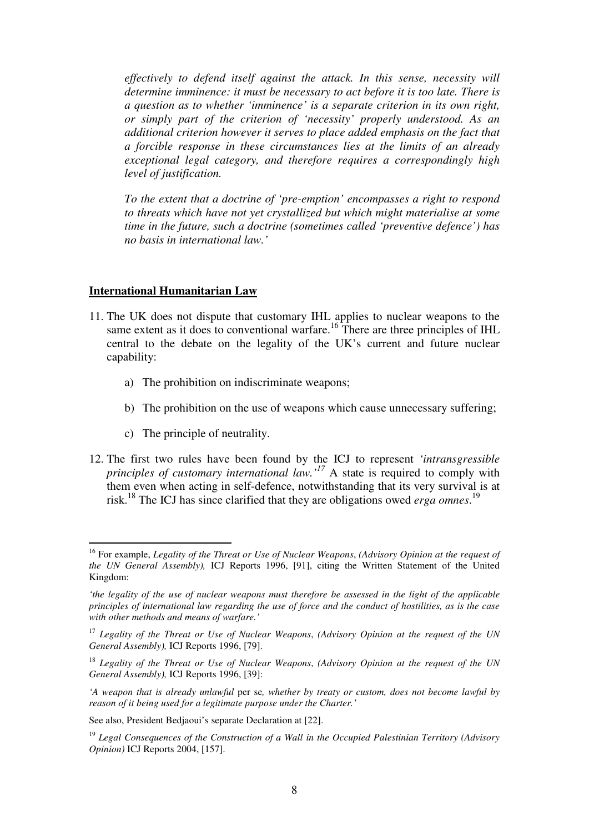*effectively to defend itself against the attack. In this sense, necessity will determine imminence: it must be necessary to act before it is too late. There is a question as to whether 'imminence' is a separate criterion in its own right, or simply part of the criterion of 'necessity' properly understood. As an additional criterion however it serves to place added emphasis on the fact that a forcible response in these circumstances lies at the limits of an already exceptional legal category, and therefore requires a correspondingly high level of justification.* 

*To the extent that a doctrine of 'pre-emption' encompasses a right to respond to threats which have not yet crystallized but which might materialise at some time in the future, such a doctrine (sometimes called 'preventive defence') has no basis in international law.'* 

#### **International Humanitarian Law**

- 11. The UK does not dispute that customary IHL applies to nuclear weapons to the same extent as it does to conventional warfare.<sup>16</sup> There are three principles of IHL central to the debate on the legality of the UK's current and future nuclear capability:
	- a) The prohibition on indiscriminate weapons;
	- b) The prohibition on the use of weapons which cause unnecessary suffering;
	- c) The principle of neutrality.

-

12. The first two rules have been found by the ICJ to represent *'intransgressible principles of customary international law.'<sup>17</sup>* A state is required to comply with them even when acting in self-defence, notwithstanding that its very survival is at risk.<sup>18</sup> The ICJ has since clarified that they are obligations owed *erga omnes*. 19

<sup>16</sup> For example, *Legality of the Threat or Use of Nuclear Weapons*, *(Advisory Opinion at the request of the UN General Assembly),* ICJ Reports 1996, [91], citing the Written Statement of the United Kingdom:

*<sup>&#</sup>x27;the legality of the use of nuclear weapons must therefore be assessed in the light of the applicable principles of international law regarding the use of force and the conduct of hostilities, as is the case with other methods and means of warfare.'*

<sup>17</sup> *Legality of the Threat or Use of Nuclear Weapons*, *(Advisory Opinion at the request of the UN General Assembly),* ICJ Reports 1996, [79].

<sup>18</sup> *Legality of the Threat or Use of Nuclear Weapons*, *(Advisory Opinion at the request of the UN General Assembly),* ICJ Reports 1996, [39]:

*<sup>&#</sup>x27;A weapon that is already unlawful* per se*, whether by treaty or custom, does not become lawful by reason of it being used for a legitimate purpose under the Charter.'* 

See also, President Bedjaoui's separate Declaration at [22].

<sup>19</sup> *Legal Consequences of the Construction of a Wall in the Occupied Palestinian Territory (Advisory Opinion)* ICJ Reports 2004, [157].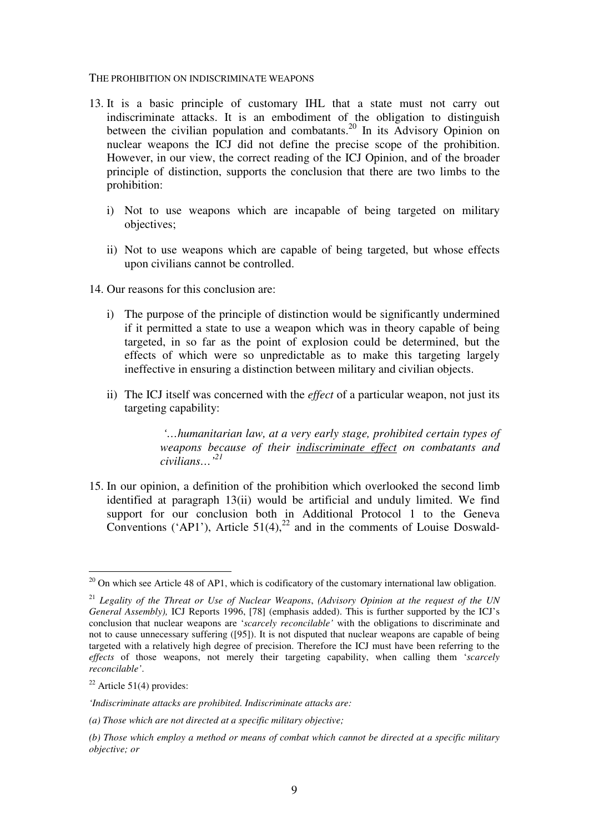#### THE PROHIBITION ON INDISCRIMINATE WEAPONS

- 13. It is a basic principle of customary IHL that a state must not carry out indiscriminate attacks. It is an embodiment of the obligation to distinguish between the civilian population and combatants.<sup>20</sup> In its Advisory Opinion on nuclear weapons the ICJ did not define the precise scope of the prohibition. However, in our view, the correct reading of the ICJ Opinion, and of the broader principle of distinction, supports the conclusion that there are two limbs to the prohibition:
	- i) Not to use weapons which are incapable of being targeted on military objectives;
	- ii) Not to use weapons which are capable of being targeted, but whose effects upon civilians cannot be controlled.
- 14. Our reasons for this conclusion are:
	- i) The purpose of the principle of distinction would be significantly undermined if it permitted a state to use a weapon which was in theory capable of being targeted, in so far as the point of explosion could be determined, but the effects of which were so unpredictable as to make this targeting largely ineffective in ensuring a distinction between military and civilian objects.
	- ii) The ICJ itself was concerned with the *effect* of a particular weapon, not just its targeting capability:

 *'…humanitarian law, at a very early stage, prohibited certain types of weapons because of their indiscriminate effect on combatants and civilians…'<sup>21</sup>*

15. In our opinion, a definition of the prohibition which overlooked the second limb identified at paragraph 13(ii) would be artificial and unduly limited. We find support for our conclusion both in Additional Protocol 1 to the Geneva Conventions ('AP1'), Article  $51(4)$ ,<sup>22</sup> and in the comments of Louise Doswald-

<sup>-</sup> $20$  On which see Article 48 of AP1, which is codificatory of the customary international law obligation.

<sup>21</sup> *Legality of the Threat or Use of Nuclear Weapons*, *(Advisory Opinion at the request of the UN General Assembly),* ICJ Reports 1996, [78] (emphasis added). This is further supported by the ICJ's conclusion that nuclear weapons are '*scarcely reconcilable'* with the obligations to discriminate and not to cause unnecessary suffering ([95]). It is not disputed that nuclear weapons are capable of being targeted with a relatively high degree of precision. Therefore the ICJ must have been referring to the *effects* of those weapons, not merely their targeting capability, when calling them '*scarcely reconcilable'*.

 $22$  Article 51(4) provides:

*<sup>&#</sup>x27;Indiscriminate attacks are prohibited. Indiscriminate attacks are:* 

*<sup>(</sup>a) Those which are not directed at a specific military objective;* 

*<sup>(</sup>b) Those which employ a method or means of combat which cannot be directed at a specific military objective; or*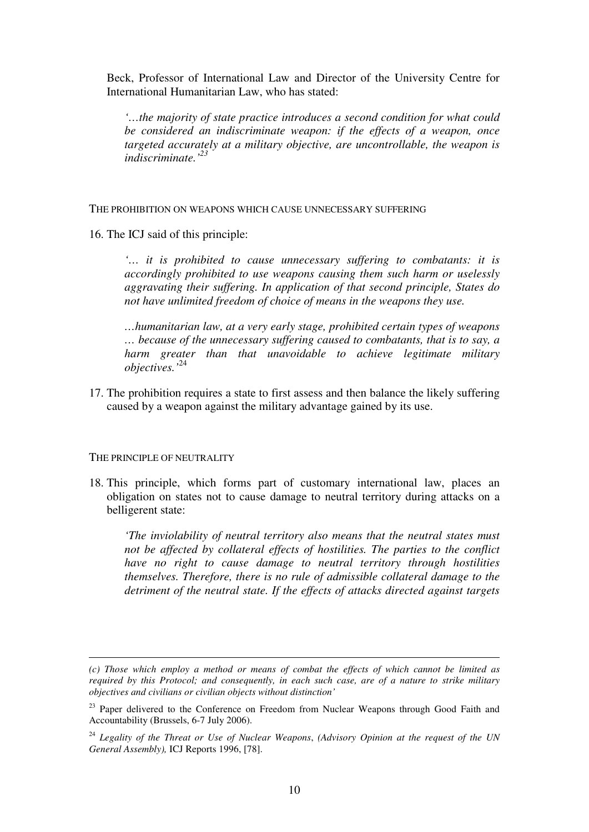Beck, Professor of International Law and Director of the University Centre for International Humanitarian Law, who has stated:

*'…the majority of state practice introduces a second condition for what could be considered an indiscriminate weapon: if the effects of a weapon, once targeted accurately at a military objective, are uncontrollable, the weapon is indiscriminate.'<sup>23</sup>*

THE PROHIBITION ON WEAPONS WHICH CAUSE UNNECESSARY SUFFERING

16. The ICJ said of this principle:

*'… it is prohibited to cause unnecessary suffering to combatants: it is accordingly prohibited to use weapons causing them such harm or uselessly aggravating their suffering. In application of that second principle, States do not have unlimited freedom of choice of means in the weapons they use.* 

*…humanitarian law, at a very early stage, prohibited certain types of weapons … because of the unnecessary suffering caused to combatants, that is to say, a harm greater than that unavoidable to achieve legitimate military objectives.'*<sup>24</sup>

17. The prohibition requires a state to first assess and then balance the likely suffering caused by a weapon against the military advantage gained by its use.

#### THE PRINCIPLE OF NEUTRALITY

-

18. This principle, which forms part of customary international law, places an obligation on states not to cause damage to neutral territory during attacks on a belligerent state:

*'The inviolability of neutral territory also means that the neutral states must not be affected by collateral effects of hostilities. The parties to the conflict have no right to cause damage to neutral territory through hostilities themselves. Therefore, there is no rule of admissible collateral damage to the detriment of the neutral state. If the effects of attacks directed against targets* 

*<sup>(</sup>c) Those which employ a method or means of combat the effects of which cannot be limited as required by this Protocol; and consequently, in each such case, are of a nature to strike military objectives and civilians or civilian objects without distinction'* 

<sup>&</sup>lt;sup>23</sup> Paper delivered to the Conference on Freedom from Nuclear Weapons through Good Faith and Accountability (Brussels, 6-7 July 2006).

<sup>24</sup> *Legality of the Threat or Use of Nuclear Weapons*, *(Advisory Opinion at the request of the UN General Assembly),* ICJ Reports 1996, [78].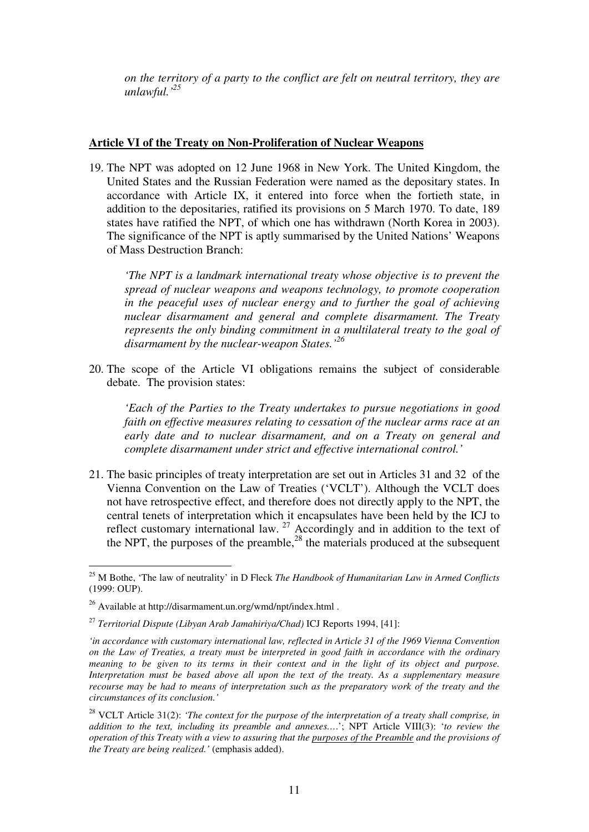*on the territory of a party to the conflict are felt on neutral territory, they are unlawful.'<sup>25</sup>*

#### **Article VI of the Treaty on Non-Proliferation of Nuclear Weapons**

19. The NPT was adopted on 12 June 1968 in New York. The United Kingdom, the United States and the Russian Federation were named as the depositary states. In accordance with Article IX, it entered into force when the fortieth state, in addition to the depositaries, ratified its provisions on 5 March 1970. To date, 189 states have ratified the NPT, of which one has withdrawn (North Korea in 2003). The significance of the NPT is aptly summarised by the United Nations' Weapons of Mass Destruction Branch:

*'The NPT is a landmark international treaty whose objective is to prevent the spread of nuclear weapons and weapons technology, to promote cooperation in the peaceful uses of nuclear energy and to further the goal of achieving nuclear disarmament and general and complete disarmament. The Treaty represents the only binding commitment in a multilateral treaty to the goal of disarmament by the nuclear-weapon States.'<sup>26</sup>* 

20. The scope of the Article VI obligations remains the subject of considerable debate. The provision states:

*'Each of the Parties to the Treaty undertakes to pursue negotiations in good faith on effective measures relating to cessation of the nuclear arms race at an early date and to nuclear disarmament, and on a Treaty on general and complete disarmament under strict and effective international control.'* 

21. The basic principles of treaty interpretation are set out in Articles 31 and 32 of the Vienna Convention on the Law of Treaties ('VCLT'). Although the VCLT does not have retrospective effect, and therefore does not directly apply to the NPT, the central tenets of interpretation which it encapsulates have been held by the ICJ to reflect customary international law.<sup>27</sup> Accordingly and in addition to the text of the NPT, the purposes of the preamble, $^{28}$  the materials produced at the subsequent

<sup>25</sup> M Bothe, 'The law of neutrality' in D Fleck *The Handbook of Humanitarian Law in Armed Conflicts* (1999: OUP).

<sup>&</sup>lt;sup>26</sup> Available at http://disarmament.un.org/wmd/npt/index.html.

<sup>27</sup> *Territorial Dispute (Libyan Arab Jamahiriya/Chad)* ICJ Reports 1994, [41]:

*<sup>&#</sup>x27;in accordance with customary international law, reflected in Article 31 of the 1969 Vienna Convention on the Law of Treaties, a treaty must be interpreted in good faith in accordance with the ordinary meaning to be given to its terms in their context and in the light of its object and purpose. Interpretation must be based above all upon the text of the treaty. As a supplementary measure recourse may be had to means of interpretation such as the preparatory work of the treaty and the circumstances of its conclusion.'* 

<sup>28</sup> VCLT Article 31(2): *'The context for the purpose of the interpretation of a treaty shall comprise, in addition to the text, including its preamble and annexes…*.'; NPT Article VIII(3): '*to review the operation of this Treaty with a view to assuring that the purposes of the Preamble and the provisions of the Treaty are being realized.'* (emphasis added).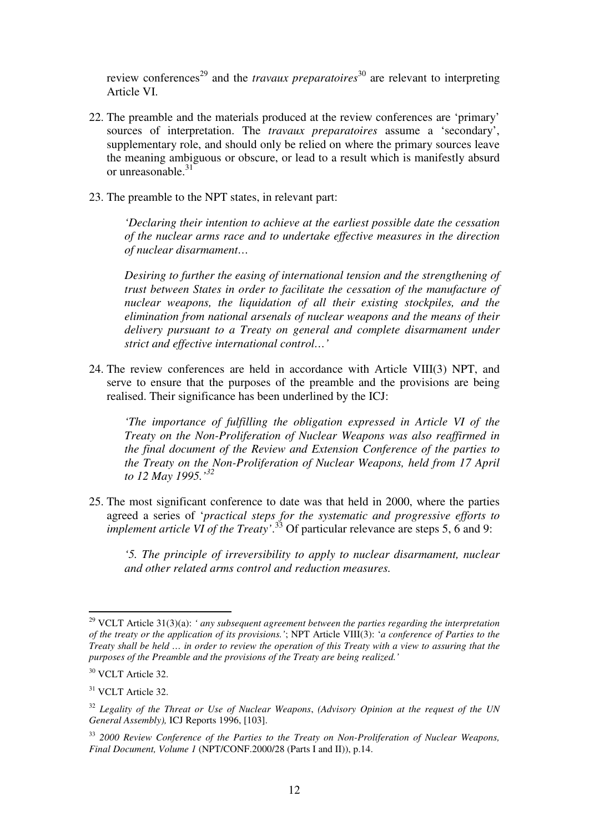review conferences<sup>29</sup> and the *travaux preparatoires*<sup>30</sup> are relevant to interpreting Article VI.

- 22. The preamble and the materials produced at the review conferences are 'primary' sources of interpretation. The *travaux preparatoires* assume a 'secondary', supplementary role, and should only be relied on where the primary sources leave the meaning ambiguous or obscure, or lead to a result which is manifestly absurd or unreasonable.<sup>31</sup>
- 23. The preamble to the NPT states, in relevant part:

*'Declaring their intention to achieve at the earliest possible date the cessation of the nuclear arms race and to undertake effective measures in the direction of nuclear disarmament…* 

*Desiring to further the easing of international tension and the strengthening of trust between States in order to facilitate the cessation of the manufacture of nuclear weapons, the liquidation of all their existing stockpiles, and the elimination from national arsenals of nuclear weapons and the means of their delivery pursuant to a Treaty on general and complete disarmament under strict and effective international control…'* 

24. The review conferences are held in accordance with Article VIII(3) NPT, and serve to ensure that the purposes of the preamble and the provisions are being realised. Their significance has been underlined by the ICJ:

*'The importance of fulfilling the obligation expressed in Article VI of the Treaty on the Non-Proliferation of Nuclear Weapons was also reaffirmed in the final document of the Review and Extension Conference of the parties to the Treaty on the Non-Proliferation of Nuclear Weapons, held from 17 April to 12 May 1995.'<sup>32</sup>*

25. The most significant conference to date was that held in 2000, where the parties agreed a series of '*practical steps for the systematic and progressive efforts to implement article VI of the Treaty'*. <sup>33</sup> Of particular relevance are steps 5, 6 and 9:

*'5. The principle of irreversibility to apply to nuclear disarmament, nuclear and other related arms control and reduction measures.* 

<sup>29</sup> VCLT Article 31(3)(a): *' any subsequent agreement between the parties regarding the interpretation of the treaty or the application of its provisions.'*; NPT Article VIII(3): '*a conference of Parties to the Treaty shall be held … in order to review the operation of this Treaty with a view to assuring that the purposes of the Preamble and the provisions of the Treaty are being realized.'*

<sup>&</sup>lt;sup>30</sup> VCLT Article 32.

<sup>&</sup>lt;sup>31</sup> VCLT Article 32.

<sup>32</sup> *Legality of the Threat or Use of Nuclear Weapons*, *(Advisory Opinion at the request of the UN General Assembly),* ICJ Reports 1996, [103].

<sup>33</sup> *2000 Review Conference of the Parties to the Treaty on Non-Proliferation of Nuclear Weapons, Final Document, Volume 1* (NPT/CONF.2000/28 (Parts I and II)), p.14.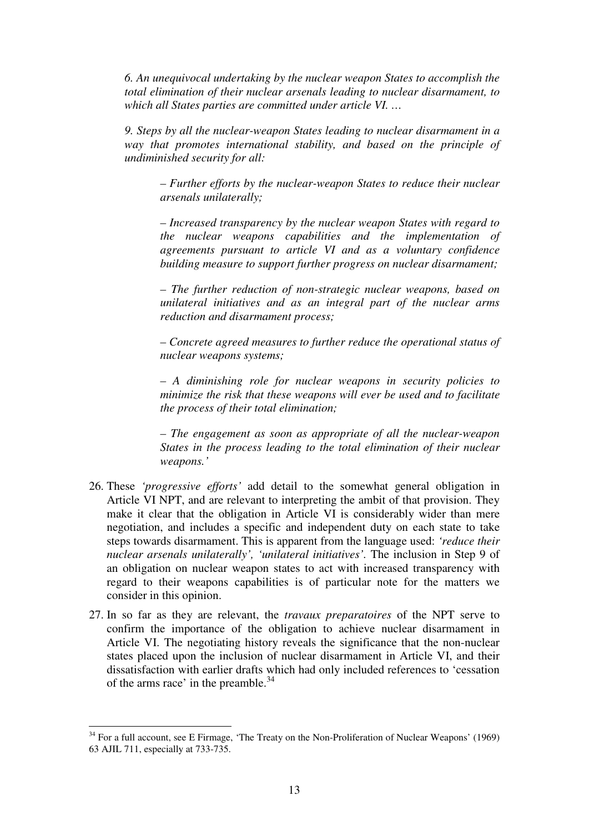*6. An unequivocal undertaking by the nuclear weapon States to accomplish the total elimination of their nuclear arsenals leading to nuclear disarmament, to which all States parties are committed under article VI. …* 

*9. Steps by all the nuclear-weapon States leading to nuclear disarmament in a way that promotes international stability, and based on the principle of undiminished security for all:* 

*– Further efforts by the nuclear-weapon States to reduce their nuclear arsenals unilaterally;* 

*– Increased transparency by the nuclear weapon States with regard to the nuclear weapons capabilities and the implementation of agreements pursuant to article VI and as a voluntary confidence building measure to support further progress on nuclear disarmament;* 

*– The further reduction of non-strategic nuclear weapons, based on unilateral initiatives and as an integral part of the nuclear arms reduction and disarmament process;* 

*– Concrete agreed measures to further reduce the operational status of nuclear weapons systems;* 

*– A diminishing role for nuclear weapons in security policies to minimize the risk that these weapons will ever be used and to facilitate the process of their total elimination;* 

*– The engagement as soon as appropriate of all the nuclear-weapon States in the process leading to the total elimination of their nuclear weapons.'* 

- 26. These *'progressive efforts'* add detail to the somewhat general obligation in Article VI NPT, and are relevant to interpreting the ambit of that provision. They make it clear that the obligation in Article VI is considerably wider than mere negotiation, and includes a specific and independent duty on each state to take steps towards disarmament. This is apparent from the language used: *'reduce their nuclear arsenals unilaterally', 'unilateral initiatives'.* The inclusion in Step 9 of an obligation on nuclear weapon states to act with increased transparency with regard to their weapons capabilities is of particular note for the matters we consider in this opinion.
- 27. In so far as they are relevant, the *travaux preparatoires* of the NPT serve to confirm the importance of the obligation to achieve nuclear disarmament in Article VI. The negotiating history reveals the significance that the non-nuclear states placed upon the inclusion of nuclear disarmament in Article VI, and their dissatisfaction with earlier drafts which had only included references to 'cessation of the arms race' in the preamble.<sup>34</sup>

 $34$  For a full account, see E Firmage, 'The Treaty on the Non-Proliferation of Nuclear Weapons' (1969) 63 AJIL 711, especially at 733-735.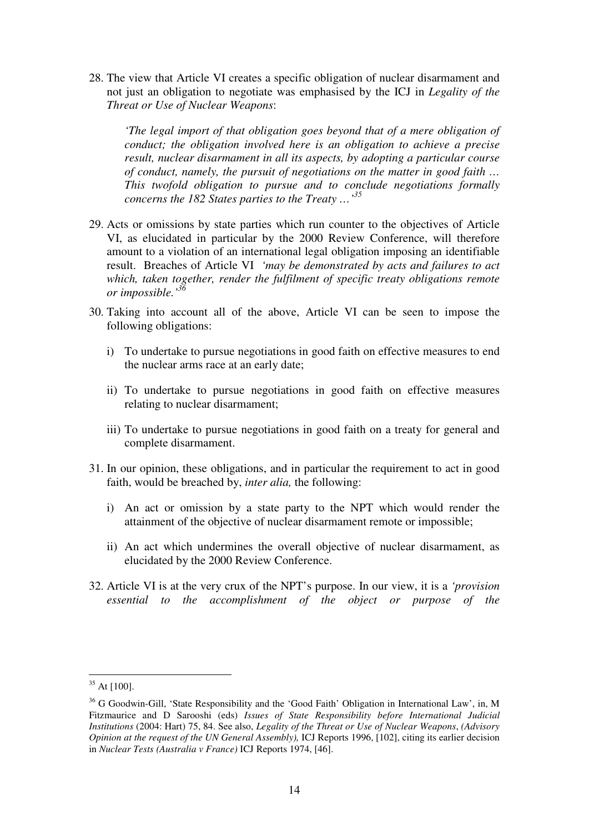28. The view that Article VI creates a specific obligation of nuclear disarmament and not just an obligation to negotiate was emphasised by the ICJ in *Legality of the Threat or Use of Nuclear Weapons*:

*'The legal import of that obligation goes beyond that of a mere obligation of conduct; the obligation involved here is an obligation to achieve a precise result, nuclear disarmament in all its aspects, by adopting a particular course of conduct, namely, the pursuit of negotiations on the matter in good faith … This twofold obligation to pursue and to conclude negotiations formally concerns the 182 States parties to the Treaty …'<sup>35</sup>* 

- 29. Acts or omissions by state parties which run counter to the objectives of Article VI, as elucidated in particular by the 2000 Review Conference, will therefore amount to a violation of an international legal obligation imposing an identifiable result. Breaches of Article VI *'may be demonstrated by acts and failures to act which, taken together, render the fulfilment of specific treaty obligations remote or impossible.'<sup>36</sup>*
- 30. Taking into account all of the above, Article VI can be seen to impose the following obligations:
	- i) To undertake to pursue negotiations in good faith on effective measures to end the nuclear arms race at an early date;
	- ii) To undertake to pursue negotiations in good faith on effective measures relating to nuclear disarmament;
	- iii) To undertake to pursue negotiations in good faith on a treaty for general and complete disarmament.
- 31. In our opinion, these obligations, and in particular the requirement to act in good faith, would be breached by, *inter alia,* the following:
	- i) An act or omission by a state party to the NPT which would render the attainment of the objective of nuclear disarmament remote or impossible;
	- ii) An act which undermines the overall objective of nuclear disarmament, as elucidated by the 2000 Review Conference.
- 32. Article VI is at the very crux of the NPT's purpose. In our view, it is a *'provision essential to the accomplishment of the object or purpose of the*

 $35$  At [100].

<sup>&</sup>lt;sup>36</sup> G Goodwin-Gill, 'State Responsibility and the 'Good Faith' Obligation in International Law', in, M Fitzmaurice and D Sarooshi (eds) *Issues of State Responsibility before International Judicial Institutions* (2004: Hart) 75, 84. See also, *Legality of the Threat or Use of Nuclear Weapons*, *(Advisory Opinion at the request of the UN General Assembly),* ICJ Reports 1996, [102], citing its earlier decision in *Nuclear Tests (Australia v France)* ICJ Reports 1974, [46].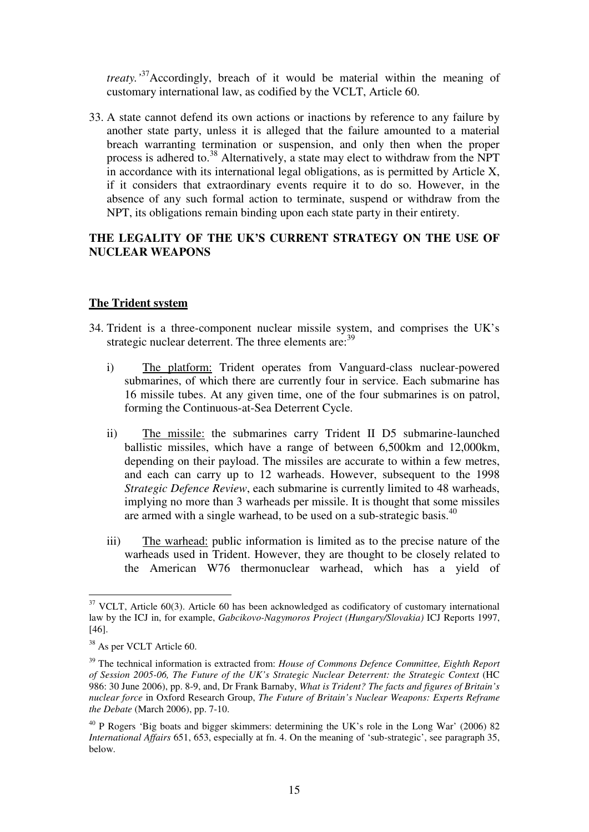*treaty.'*<sup>37</sup>Accordingly, breach of it would be material within the meaning of customary international law, as codified by the VCLT, Article 60.

33. A state cannot defend its own actions or inactions by reference to any failure by another state party, unless it is alleged that the failure amounted to a material breach warranting termination or suspension, and only then when the proper process is adhered to.<sup>38</sup> Alternatively, a state may elect to withdraw from the NPT in accordance with its international legal obligations, as is permitted by Article X, if it considers that extraordinary events require it to do so. However, in the absence of any such formal action to terminate, suspend or withdraw from the NPT, its obligations remain binding upon each state party in their entirety.

## **THE LEGALITY OF THE UK'S CURRENT STRATEGY ON THE USE OF NUCLEAR WEAPONS**

### **The Trident system**

- 34. Trident is a three-component nuclear missile system, and comprises the UK's strategic nuclear deterrent. The three elements are:<sup>39</sup>
	- i) The platform: Trident operates from Vanguard-class nuclear-powered submarines, of which there are currently four in service. Each submarine has 16 missile tubes. At any given time, one of the four submarines is on patrol, forming the Continuous-at-Sea Deterrent Cycle.
	- ii) The missile: the submarines carry Trident II D5 submarine-launched ballistic missiles, which have a range of between 6,500km and 12,000km, depending on their payload. The missiles are accurate to within a few metres, and each can carry up to 12 warheads. However, subsequent to the 1998 *Strategic Defence Review*, each submarine is currently limited to 48 warheads, implying no more than 3 warheads per missile. It is thought that some missiles are armed with a single warhead, to be used on a sub-strategic basis.<sup>40</sup>
	- iii) The warhead: public information is limited as to the precise nature of the warheads used in Trident. However, they are thought to be closely related to the American W76 thermonuclear warhead, which has a yield of

<sup>-</sup> $37$  VCLT, Article 60(3). Article 60 has been acknowledged as codificatory of customary international law by the ICJ in, for example, *Gabcikovo-Nagymoros Project (Hungary/Slovakia)* ICJ Reports 1997, [46].

<sup>&</sup>lt;sup>38</sup> As per VCLT Article 60.

<sup>&</sup>lt;sup>39</sup> The technical information is extracted from: *House of Commons Defence Committee, Eighth Report of Session 2005-06, The Future of the UK's Strategic Nuclear Deterrent: the Strategic Context* (HC 986: 30 June 2006), pp. 8-9, and, Dr Frank Barnaby, *What is Trident? The facts and figures of Britain's nuclear force* in Oxford Research Group, *The Future of Britain's Nuclear Weapons: Experts Reframe the Debate* (March 2006), pp. 7-10.

 $^{40}$  P Rogers 'Big boats and bigger skimmers: determining the UK's role in the Long War' (2006) 82 *International Affairs* 651, 653, especially at fn. 4. On the meaning of 'sub-strategic', see paragraph 35, below.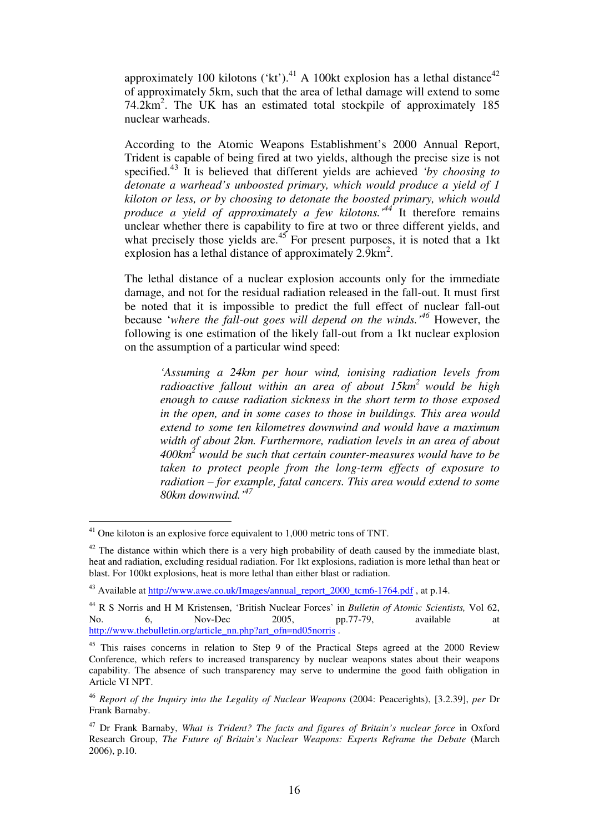approximately 100 kilotons ('kt').<sup>41</sup> A 100kt explosion has a lethal distance<sup>42</sup> of approximately 5km, such that the area of lethal damage will extend to some 74.2km<sup>2</sup>. The UK has an estimated total stockpile of approximately 185 nuclear warheads.

According to the Atomic Weapons Establishment's 2000 Annual Report, Trident is capable of being fired at two yields, although the precise size is not specified.<sup>43</sup> It is believed that different yields are achieved *'by choosing to detonate a warhead's unboosted primary, which would produce a yield of 1 kiloton or less, or by choosing to detonate the boosted primary, which would produce a yield of approximately a few kilotons.'<sup>44</sup>* It therefore remains unclear whether there is capability to fire at two or three different yields, and what precisely those yields are.<sup>45</sup> For present purposes, it is noted that a 1kt explosion has a lethal distance of approximately  $2.9 \text{km}^2$ .

The lethal distance of a nuclear explosion accounts only for the immediate damage, and not for the residual radiation released in the fall-out. It must first be noted that it is impossible to predict the full effect of nuclear fall-out because '*where the fall-out goes will depend on the winds.'<sup>46</sup>* However, the following is one estimation of the likely fall-out from a 1kt nuclear explosion on the assumption of a particular wind speed:

*'Assuming a 24km per hour wind, ionising radiation levels from radioactive fallout within an area of about 15km<sup>2</sup>would be high enough to cause radiation sickness in the short term to those exposed in the open, and in some cases to those in buildings. This area would extend to some ten kilometres downwind and would have a maximum width of about 2km. Furthermore, radiation levels in an area of about 400km<sup>2</sup> would be such that certain counter-measures would have to be taken to protect people from the long-term effects of exposure to radiation – for example, fatal cancers. This area would extend to some 80km downwind.'<sup>47</sup>*

<sup>-</sup> $41$  One kiloton is an explosive force equivalent to 1,000 metric tons of TNT.

 $42$  The distance within which there is a very high probability of death caused by the immediate blast, heat and radiation, excluding residual radiation. For 1kt explosions, radiation is more lethal than heat or blast. For 100kt explosions, heat is more lethal than either blast or radiation.

<sup>&</sup>lt;sup>43</sup> Available at http://www.awe.co.uk/Images/annual\_report\_2000\_tcm6-1764.pdf, at p.14.

<sup>44</sup> R S Norris and H M Kristensen, 'British Nuclear Forces' in *Bulletin of Atomic Scientists,* Vol 62, No. 6, Nov-Dec 2005, pp.77-79, available at http://www.thebulletin.org/article\_nn.php?art\_ofn=nd05norris .

<sup>&</sup>lt;sup>45</sup> This raises concerns in relation to Step 9 of the Practical Steps agreed at the 2000 Review Conference, which refers to increased transparency by nuclear weapons states about their weapons capability. The absence of such transparency may serve to undermine the good faith obligation in Article VI NPT.

<sup>46</sup> *Report of the Inquiry into the Legality of Nuclear Weapons* (2004: Peacerights), [3.2.39], *per* Dr Frank Barnaby.

<sup>47</sup> Dr Frank Barnaby, *What is Trident? The facts and figures of Britain's nuclear force* in Oxford Research Group, *The Future of Britain's Nuclear Weapons: Experts Reframe the Debate* (March 2006), p.10.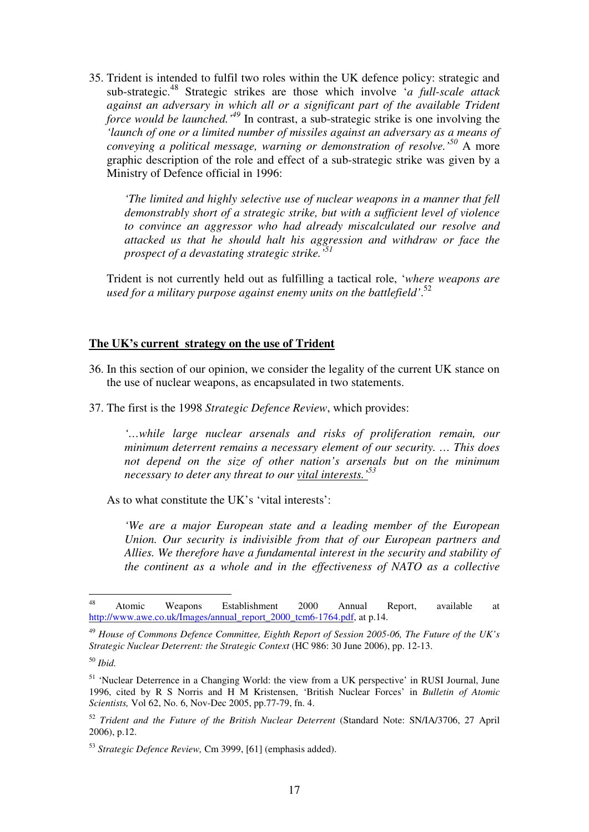35. Trident is intended to fulfil two roles within the UK defence policy: strategic and sub-strategic.<sup>48</sup> Strategic strikes are those which involve '*a full-scale attack against an adversary in which all or a significant part of the available Trident force would be launched.'<sup>49</sup>* In contrast, a sub-strategic strike is one involving the *'launch of one or a limited number of missiles against an adversary as a means of conveying a political message, warning or demonstration of resolve.'<sup>50</sup>* A more graphic description of the role and effect of a sub-strategic strike was given by a Ministry of Defence official in 1996:

*'The limited and highly selective use of nuclear weapons in a manner that fell demonstrably short of a strategic strike, but with a sufficient level of violence to convince an aggressor who had already miscalculated our resolve and attacked us that he should halt his aggression and withdraw or face the prospect of a devastating strategic strike.'<sup>51</sup>*

Trident is not currently held out as fulfilling a tactical role, '*where weapons are used for a military purpose against enemy units on the battlefield'*. 52

#### **The UK's current strategy on the use of Trident**

- 36. In this section of our opinion, we consider the legality of the current UK stance on the use of nuclear weapons, as encapsulated in two statements.
- 37. The first is the 1998 *Strategic Defence Review*, which provides:

*'…while large nuclear arsenals and risks of proliferation remain, our minimum deterrent remains a necessary element of our security. … This does not depend on the size of other nation's arsenals but on the minimum necessary to deter any threat to our vital interests.'<sup>53</sup>*

As to what constitute the UK's 'vital interests':

*'We are a major European state and a leading member of the European Union. Our security is indivisible from that of our European partners and Allies. We therefore have a fundamental interest in the security and stability of the continent as a whole and in the effectiveness of NATO as a collective* 

<sup>48</sup> <sup>48</sup> Atomic Weapons Establishment 2000 Annual Report, available at http://www.awe.co.uk/Images/annual\_report\_2000\_tcm6-1764.pdf, at p.14.

<sup>49</sup> *House of Commons Defence Committee, Eighth Report of Session 2005-06, The Future of the UK's Strategic Nuclear Deterrent: the Strategic Context* (HC 986: 30 June 2006), pp. 12-13.

<sup>50</sup> *Ibid.*

<sup>&</sup>lt;sup>51</sup> 'Nuclear Deterrence in a Changing World: the view from a UK perspective' in RUSI Journal, June 1996, cited by R S Norris and H M Kristensen, 'British Nuclear Forces' in *Bulletin of Atomic Scientists,* Vol 62, No. 6, Nov-Dec 2005, pp.77-79, fn. 4.

<sup>52</sup> *Trident and the Future of the British Nuclear Deterrent* (Standard Note: SN/IA/3706, 27 April 2006), p.12.

<sup>53</sup> *Strategic Defence Review,* Cm 3999, [61] (emphasis added).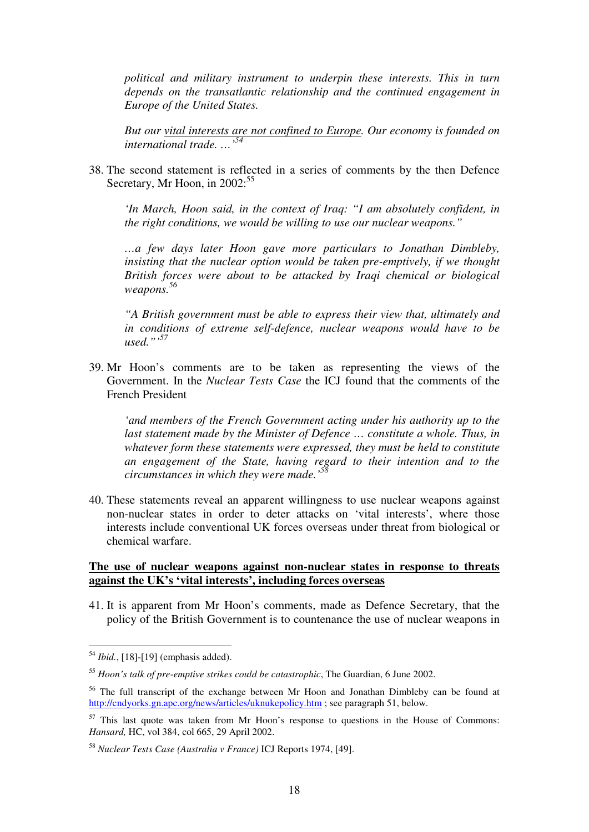*political and military instrument to underpin these interests. This in turn depends on the transatlantic relationship and the continued engagement in Europe of the United States.* 

*But our vital interests are not confined to Europe. Our economy is founded on international trade. …'<sup>54</sup>*

38. The second statement is reflected in a series of comments by the then Defence Secretary, Mr Hoon, in  $2002$ <sup>55</sup>

*'In March, Hoon said, in the context of Iraq: "I am absolutely confident, in the right conditions, we would be willing to use our nuclear weapons."* 

*…a few days later Hoon gave more particulars to Jonathan Dimbleby, insisting that the nuclear option would be taken pre-emptively, if we thought British forces were about to be attacked by Iraqi chemical or biological weapons. 56*

*"A British government must be able to express their view that, ultimately and in conditions of extreme self-defence, nuclear weapons would have to be used."'<sup>57</sup>*

39. Mr Hoon's comments are to be taken as representing the views of the Government. In the *Nuclear Tests Case* the ICJ found that the comments of the French President

*'and members of the French Government acting under his authority up to the*  last statement made by the Minister of Defence ... constitute a whole. Thus, in *whatever form these statements were expressed, they must be held to constitute an engagement of the State, having regard to their intention and to the circumstances in which they were made.'<sup>58</sup>*

40. These statements reveal an apparent willingness to use nuclear weapons against non-nuclear states in order to deter attacks on 'vital interests', where those interests include conventional UK forces overseas under threat from biological or chemical warfare.

### **The use of nuclear weapons against non-nuclear states in response to threats against the UK's 'vital interests', including forces overseas**

41. It is apparent from Mr Hoon's comments, made as Defence Secretary, that the policy of the British Government is to countenance the use of nuclear weapons in

<sup>54</sup> *Ibid.*, [18]-[19] (emphasis added).

<sup>55</sup> *Hoon's talk of pre-emptive strikes could be catastrophic*, The Guardian, 6 June 2002.

<sup>&</sup>lt;sup>56</sup> The full transcript of the exchange between Mr Hoon and Jonathan Dimbleby can be found at http://cndyorks.gn.apc.org/news/articles/uknukepolicy.htm ; see paragraph 51, below.

 $57$  This last quote was taken from Mr Hoon's response to questions in the House of Commons: *Hansard,* HC, vol 384, col 665, 29 April 2002.

<sup>58</sup> *Nuclear Tests Case (Australia v France)* ICJ Reports 1974, [49].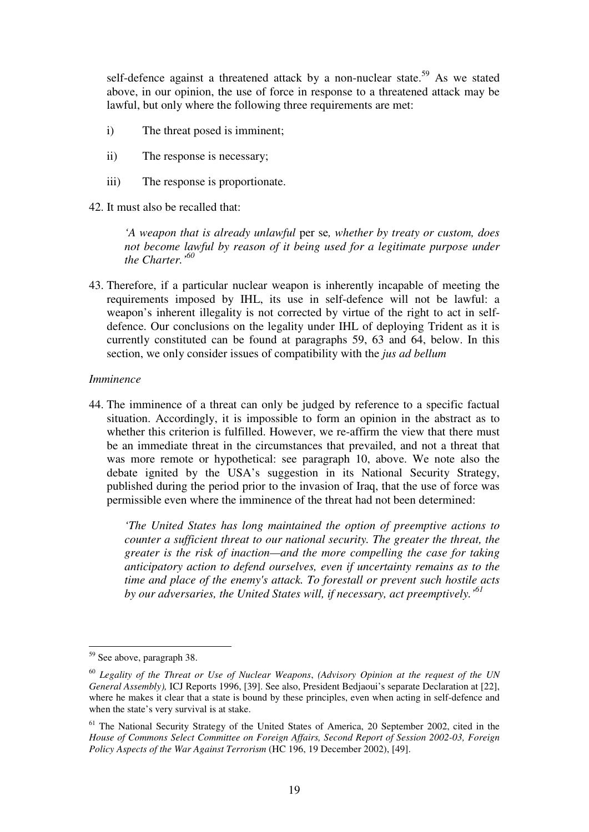self-defence against a threatened attack by a non-nuclear state.<sup>59</sup> As we stated above, in our opinion, the use of force in response to a threatened attack may be lawful, but only where the following three requirements are met:

- i) The threat posed is imminent;
- ii) The response is necessary;
- iii) The response is proportionate.

42. It must also be recalled that:

*'A weapon that is already unlawful* per se*, whether by treaty or custom, does not become lawful by reason of it being used for a legitimate purpose under the Charter.'<sup>60</sup>*

43. Therefore, if a particular nuclear weapon is inherently incapable of meeting the requirements imposed by IHL, its use in self-defence will not be lawful: a weapon's inherent illegality is not corrected by virtue of the right to act in selfdefence. Our conclusions on the legality under IHL of deploying Trident as it is currently constituted can be found at paragraphs 59, 63 and 64, below. In this section, we only consider issues of compatibility with the *jus ad bellum*

### *Imminence*

44. The imminence of a threat can only be judged by reference to a specific factual situation. Accordingly, it is impossible to form an opinion in the abstract as to whether this criterion is fulfilled. However, we re-affirm the view that there must be an immediate threat in the circumstances that prevailed, and not a threat that was more remote or hypothetical: see paragraph 10, above. We note also the debate ignited by the USA's suggestion in its National Security Strategy, published during the period prior to the invasion of Iraq, that the use of force was permissible even where the imminence of the threat had not been determined:

*'The United States has long maintained the option of preemptive actions to counter a sufficient threat to our national security. The greater the threat, the greater is the risk of inaction—and the more compelling the case for taking anticipatory action to defend ourselves, even if uncertainty remains as to the time and place of the enemy's attack. To forestall or prevent such hostile acts by our adversaries, the United States will, if necessary, act preemptively.'<sup>61</sup>*

<sup>&</sup>lt;sup>59</sup> See above, paragraph 38.

<sup>60</sup> *Legality of the Threat or Use of Nuclear Weapons*, *(Advisory Opinion at the request of the UN General Assembly),* ICJ Reports 1996, [39]. See also, President Bedjaoui's separate Declaration at [22], where he makes it clear that a state is bound by these principles, even when acting in self-defence and when the state's very survival is at stake.

<sup>&</sup>lt;sup>61</sup> The National Security Strategy of the United States of America, 20 September 2002, cited in the *House of Commons Select Committee on Foreign Affairs, Second Report of Session 2002-03, Foreign Policy Aspects of the War Against Terrorism* (HC 196, 19 December 2002), [49].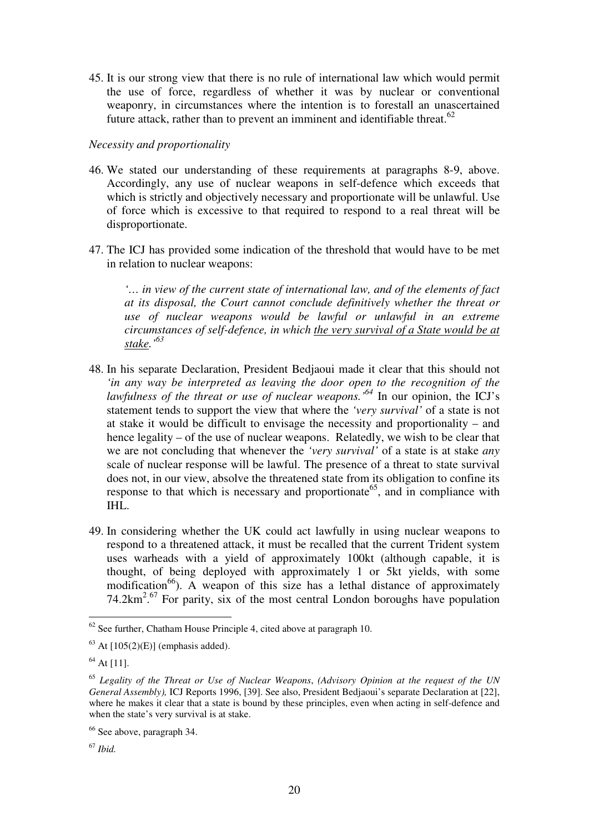45. It is our strong view that there is no rule of international law which would permit the use of force, regardless of whether it was by nuclear or conventional weaponry, in circumstances where the intention is to forestall an unascertained future attack, rather than to prevent an imminent and identifiable threat. $62$ 

### *Necessity and proportionality*

- 46. We stated our understanding of these requirements at paragraphs 8-9, above. Accordingly, any use of nuclear weapons in self-defence which exceeds that which is strictly and objectively necessary and proportionate will be unlawful. Use of force which is excessive to that required to respond to a real threat will be disproportionate.
- 47. The ICJ has provided some indication of the threshold that would have to be met in relation to nuclear weapons:

*'… in view of the current state of international law, and of the elements of fact at its disposal, the Court cannot conclude definitively whether the threat or use of nuclear weapons would be lawful or unlawful in an extreme circumstances of self-defence, in which the very survival of a State would be at stake.'<sup>63</sup>*

- 48. In his separate Declaration, President Bedjaoui made it clear that this should not *'in any way be interpreted as leaving the door open to the recognition of the lawfulness of the threat or use of nuclear weapons.'<sup>64</sup>* In our opinion, the ICJ's statement tends to support the view that where the *'very survival'* of a state is not at stake it would be difficult to envisage the necessity and proportionality – and hence legality – of the use of nuclear weapons. Relatedly, we wish to be clear that we are not concluding that whenever the *'very survival'* of a state is at stake *any* scale of nuclear response will be lawful. The presence of a threat to state survival does not, in our view, absolve the threatened state from its obligation to confine its response to that which is necessary and proportionate<sup>65</sup>, and in compliance with IHL.
- 49. In considering whether the UK could act lawfully in using nuclear weapons to respond to a threatened attack, it must be recalled that the current Trident system uses warheads with a yield of approximately 100kt (although capable, it is thought, of being deployed with approximately 1 or 5kt yields, with some modification<sup>66</sup>). A weapon of this size has a lethal distance of approximately  $74.2 \text{km}^2$ .<sup>67</sup> For parity, six of the most central London boroughs have population

 $62$  See further, Chatham House Principle 4, cited above at paragraph 10.

 $63$  At  $[105(2)(E)]$  (emphasis added).

 $64$  At [11].

<sup>65</sup> *Legality of the Threat or Use of Nuclear Weapons*, *(Advisory Opinion at the request of the UN General Assembly),* ICJ Reports 1996, [39]. See also, President Bedjaoui's separate Declaration at [22], where he makes it clear that a state is bound by these principles, even when acting in self-defence and when the state's very survival is at stake.

<sup>66</sup> See above, paragraph 34.

<sup>67</sup> *Ibid.*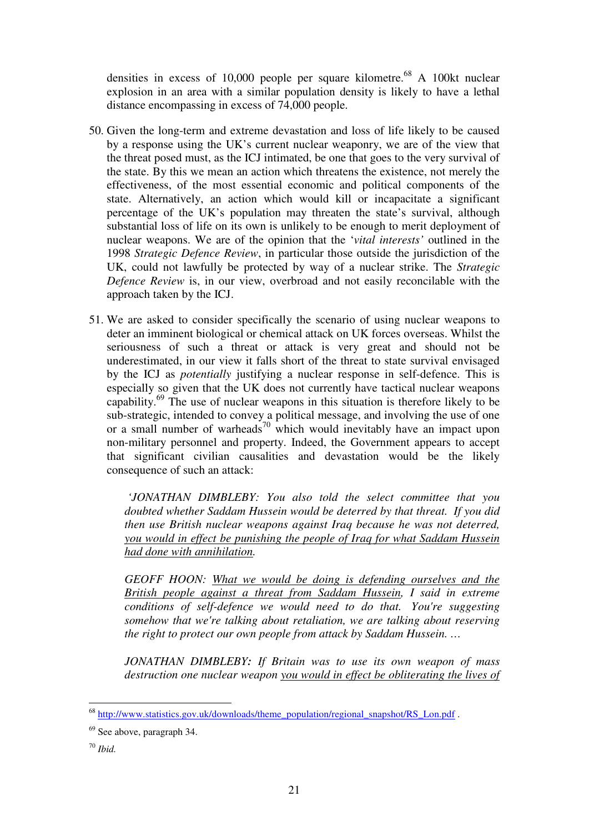densities in excess of  $10,000$  people per square kilometre.<sup>68</sup> A 100kt nuclear explosion in an area with a similar population density is likely to have a lethal distance encompassing in excess of 74,000 people.

- 50. Given the long-term and extreme devastation and loss of life likely to be caused by a response using the UK's current nuclear weaponry, we are of the view that the threat posed must, as the ICJ intimated, be one that goes to the very survival of the state. By this we mean an action which threatens the existence, not merely the effectiveness, of the most essential economic and political components of the state. Alternatively, an action which would kill or incapacitate a significant percentage of the UK's population may threaten the state's survival, although substantial loss of life on its own is unlikely to be enough to merit deployment of nuclear weapons. We are of the opinion that the '*vital interests'* outlined in the 1998 *Strategic Defence Review*, in particular those outside the jurisdiction of the UK, could not lawfully be protected by way of a nuclear strike. The *Strategic Defence Review* is, in our view, overbroad and not easily reconcilable with the approach taken by the ICJ.
- 51. We are asked to consider specifically the scenario of using nuclear weapons to deter an imminent biological or chemical attack on UK forces overseas. Whilst the seriousness of such a threat or attack is very great and should not be underestimated, in our view it falls short of the threat to state survival envisaged by the ICJ as *potentially* justifying a nuclear response in self-defence. This is especially so given that the UK does not currently have tactical nuclear weapons capability.<sup>69</sup> The use of nuclear weapons in this situation is therefore likely to be sub-strategic, intended to convey a political message, and involving the use of one or a small number of warheads<sup>70</sup> which would inevitably have an impact upon non-military personnel and property. Indeed, the Government appears to accept that significant civilian causalities and devastation would be the likely consequence of such an attack:

 *'JONATHAN DIMBLEBY: You also told the select committee that you doubted whether Saddam Hussein would be deterred by that threat. If you did then use British nuclear weapons against Iraq because he was not deterred, you would in effect be punishing the people of Iraq for what Saddam Hussein had done with annihilation.* 

*GEOFF HOON: What we would be doing is defending ourselves and the British people against a threat from Saddam Hussein, I said in extreme conditions of self-defence we would need to do that. You're suggesting somehow that we're talking about retaliation, we are talking about reserving the right to protect our own people from attack by Saddam Hussein. …* 

*JONATHAN DIMBLEBY: If Britain was to use its own weapon of mass destruction one nuclear weapon you would in effect be obliterating the lives of* 

<sup>70</sup> *Ibid.* 

<sup>&</sup>lt;sup>68</sup> http://www.statistics.gov.uk/downloads/theme\_population/regional\_snapshot/RS\_Lon.pdf .

<sup>69</sup> See above, paragraph 34.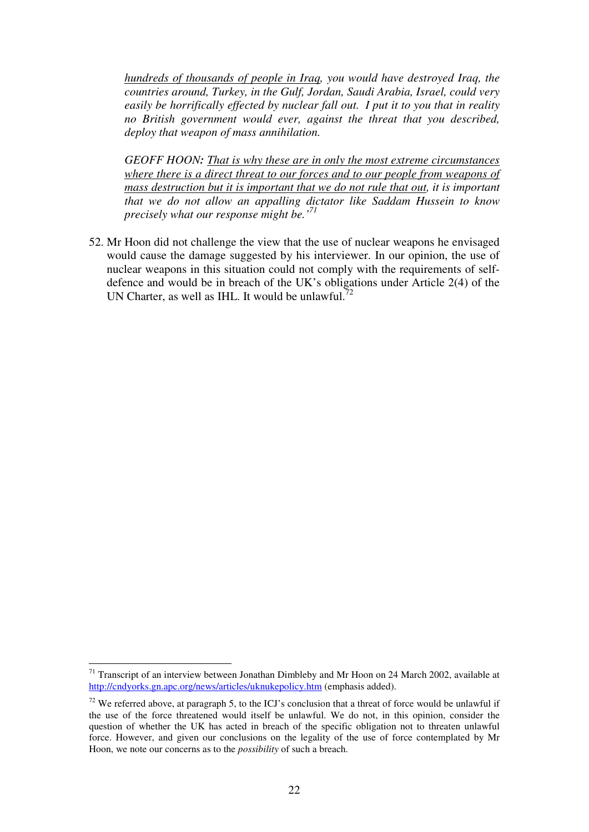*hundreds of thousands of people in Iraq, you would have destroyed Iraq, the countries around, Turkey, in the Gulf, Jordan, Saudi Arabia, Israel, could very easily be horrifically effected by nuclear fall out. I put it to you that in reality no British government would ever, against the threat that you described, deploy that weapon of mass annihilation.* 

*GEOFF HOON: That is why these are in only the most extreme circumstances where there is a direct threat to our forces and to our people from weapons of mass destruction but it is important that we do not rule that out, it is important that we do not allow an appalling dictator like Saddam Hussein to know precisely what our response might be.'<sup>71</sup>* 

52. Mr Hoon did not challenge the view that the use of nuclear weapons he envisaged would cause the damage suggested by his interviewer. In our opinion, the use of nuclear weapons in this situation could not comply with the requirements of selfdefence and would be in breach of the UK's obligations under Article 2(4) of the UN Charter, as well as IHL. It would be unlawful.<sup>72</sup>

<sup>-</sup> $71$  Transcript of an interview between Jonathan Dimbleby and Mr Hoon on 24 March 2002, available at http://cndyorks.gn.apc.org/news/articles/uknukepolicy.htm (emphasis added).

 $72$  We referred above, at paragraph 5, to the ICJ's conclusion that a threat of force would be unlawful if the use of the force threatened would itself be unlawful. We do not, in this opinion, consider the question of whether the UK has acted in breach of the specific obligation not to threaten unlawful force. However, and given our conclusions on the legality of the use of force contemplated by Mr Hoon, we note our concerns as to the *possibility* of such a breach.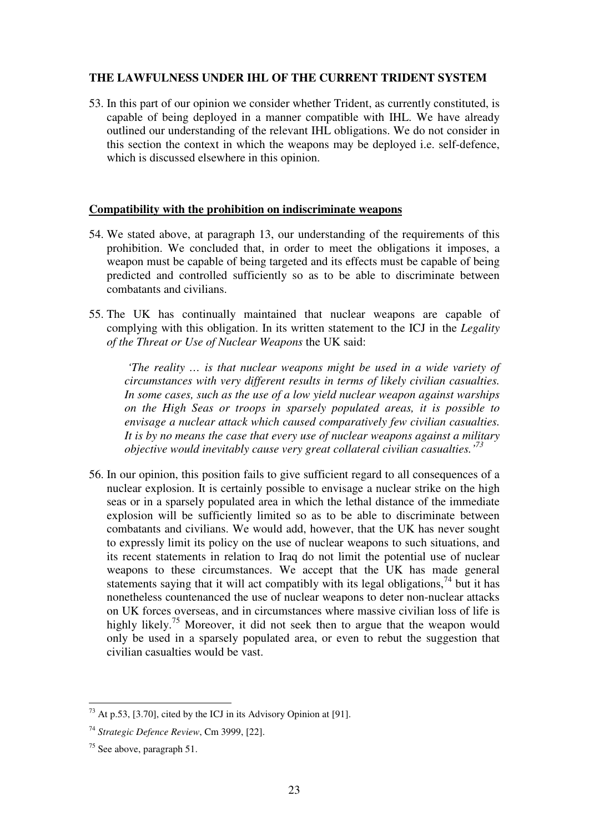### **THE LAWFULNESS UNDER IHL OF THE CURRENT TRIDENT SYSTEM**

53. In this part of our opinion we consider whether Trident, as currently constituted, is capable of being deployed in a manner compatible with IHL. We have already outlined our understanding of the relevant IHL obligations. We do not consider in this section the context in which the weapons may be deployed i.e. self-defence, which is discussed elsewhere in this opinion.

#### **Compatibility with the prohibition on indiscriminate weapons**

- 54. We stated above, at paragraph 13, our understanding of the requirements of this prohibition. We concluded that, in order to meet the obligations it imposes, a weapon must be capable of being targeted and its effects must be capable of being predicted and controlled sufficiently so as to be able to discriminate between combatants and civilians.
- 55. The UK has continually maintained that nuclear weapons are capable of complying with this obligation. In its written statement to the ICJ in the *Legality of the Threat or Use of Nuclear Weapons* the UK said:

 *'The reality … is that nuclear weapons might be used in a wide variety of circumstances with very different results in terms of likely civilian casualties. In some cases, such as the use of a low yield nuclear weapon against warships on the High Seas or troops in sparsely populated areas, it is possible to envisage a nuclear attack which caused comparatively few civilian casualties. It is by no means the case that every use of nuclear weapons against a military objective would inevitably cause very great collateral civilian casualties.'<sup>73</sup>*

56. In our opinion, this position fails to give sufficient regard to all consequences of a nuclear explosion. It is certainly possible to envisage a nuclear strike on the high seas or in a sparsely populated area in which the lethal distance of the immediate explosion will be sufficiently limited so as to be able to discriminate between combatants and civilians. We would add, however, that the UK has never sought to expressly limit its policy on the use of nuclear weapons to such situations, and its recent statements in relation to Iraq do not limit the potential use of nuclear weapons to these circumstances. We accept that the UK has made general statements saying that it will act compatibly with its legal obligations,  $74$  but it has nonetheless countenanced the use of nuclear weapons to deter non-nuclear attacks on UK forces overseas, and in circumstances where massive civilian loss of life is highly likely.<sup>75</sup> Moreover, it did not seek then to argue that the weapon would only be used in a sparsely populated area, or even to rebut the suggestion that civilian casualties would be vast.

 $^{73}$  At p.53, [3.70], cited by the ICJ in its Advisory Opinion at [91].

<sup>74</sup> *Strategic Defence Review*, Cm 3999, [22].

<sup>75</sup> See above, paragraph 51.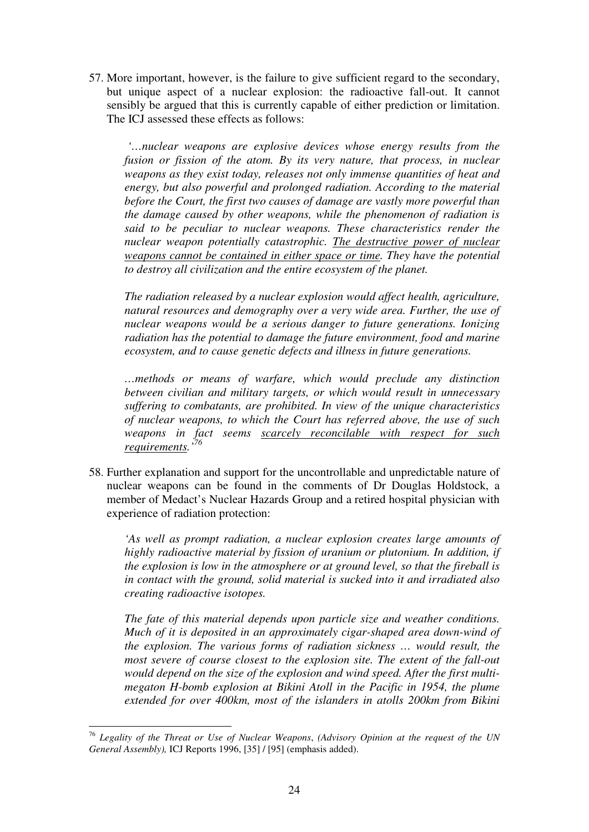57. More important, however, is the failure to give sufficient regard to the secondary, but unique aspect of a nuclear explosion: the radioactive fall-out. It cannot sensibly be argued that this is currently capable of either prediction or limitation. The ICJ assessed these effects as follows:

 *'…nuclear weapons are explosive devices whose energy results from the fusion or fission of the atom. By its very nature, that process, in nuclear weapons as they exist today, releases not only immense quantities of heat and energy, but also powerful and prolonged radiation. According to the material before the Court, the first two causes of damage are vastly more powerful than the damage caused by other weapons, while the phenomenon of radiation is said to be peculiar to nuclear weapons. These characteristics render the nuclear weapon potentially catastrophic. The destructive power of nuclear weapons cannot be contained in either space or time. They have the potential to destroy all civilization and the entire ecosystem of the planet.*

*The radiation released by a nuclear explosion would affect health, agriculture, natural resources and demography over a very wide area. Further, the use of nuclear weapons would be a serious danger to future generations. Ionizing radiation has the potential to damage the future environment, food and marine ecosystem, and to cause genetic defects and illness in future generations.* 

*…methods or means of warfare, which would preclude any distinction between civilian and military targets, or which would result in unnecessary suffering to combatants, are prohibited. In view of the unique characteristics of nuclear weapons, to which the Court has referred above, the use of such weapons in fact seems scarcely reconcilable with respect for such requirements.'<sup>76</sup>*

58. Further explanation and support for the uncontrollable and unpredictable nature of nuclear weapons can be found in the comments of Dr Douglas Holdstock, a member of Medact's Nuclear Hazards Group and a retired hospital physician with experience of radiation protection:

*'As well as prompt radiation, a nuclear explosion creates large amounts of highly radioactive material by fission of uranium or plutonium. In addition, if the explosion is low in the atmosphere or at ground level, so that the fireball is in contact with the ground, solid material is sucked into it and irradiated also creating radioactive isotopes.* 

*The fate of this material depends upon particle size and weather conditions. Much of it is deposited in an approximately cigar-shaped area down-wind of the explosion. The various forms of radiation sickness … would result, the most severe of course closest to the explosion site. The extent of the fall-out would depend on the size of the explosion and wind speed. After the first multimegaton H-bomb explosion at Bikini Atoll in the Pacific in 1954, the plume extended for over 400km, most of the islanders in atolls 200km from Bikini* 

<sup>&</sup>lt;u>.</u> <sup>76</sup> *Legality of the Threat or Use of Nuclear Weapons*, *(Advisory Opinion at the request of the UN General Assembly),* ICJ Reports 1996, [35] / [95] (emphasis added).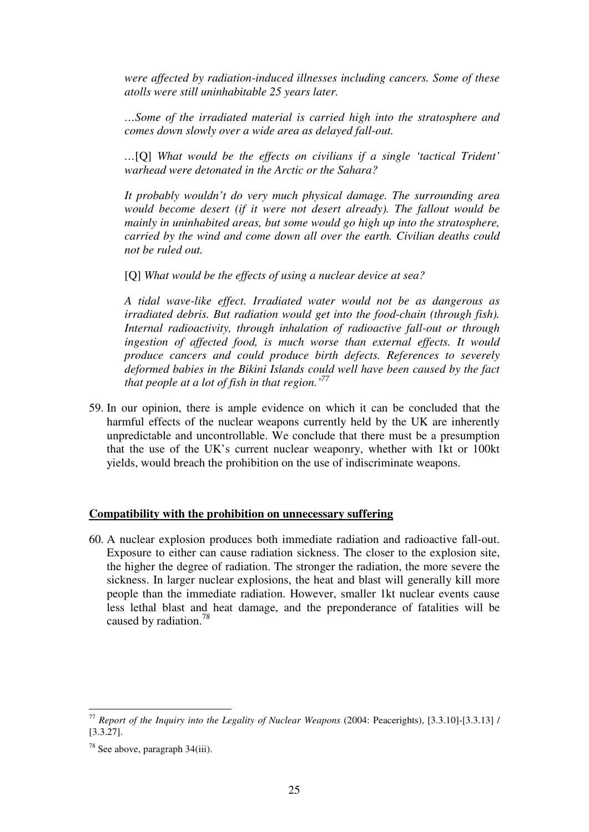*were affected by radiation-induced illnesses including cancers. Some of these atolls were still uninhabitable 25 years later.* 

*…Some of the irradiated material is carried high into the stratosphere and comes down slowly over a wide area as delayed fall-out.* 

*…*[Q] *What would be the effects on civilians if a single 'tactical Trident' warhead were detonated in the Arctic or the Sahara?* 

*It probably wouldn't do very much physical damage. The surrounding area would become desert (if it were not desert already). The fallout would be mainly in uninhabited areas, but some would go high up into the stratosphere, carried by the wind and come down all over the earth. Civilian deaths could not be ruled out.* 

[Q] *What would be the effects of using a nuclear device at sea?* 

*A tidal wave-like effect. Irradiated water would not be as dangerous as irradiated debris. But radiation would get into the food-chain (through fish). Internal radioactivity, through inhalation of radioactive fall-out or through ingestion of affected food, is much worse than external effects. It would produce cancers and could produce birth defects. References to severely deformed babies in the Bikini Islands could well have been caused by the fact that people at a lot of fish in that region.'<sup>77</sup>*

59. In our opinion, there is ample evidence on which it can be concluded that the harmful effects of the nuclear weapons currently held by the UK are inherently unpredictable and uncontrollable. We conclude that there must be a presumption that the use of the UK's current nuclear weaponry, whether with 1kt or 100kt yields, would breach the prohibition on the use of indiscriminate weapons.

#### **Compatibility with the prohibition on unnecessary suffering**

60. A nuclear explosion produces both immediate radiation and radioactive fall-out. Exposure to either can cause radiation sickness. The closer to the explosion site, the higher the degree of radiation. The stronger the radiation, the more severe the sickness. In larger nuclear explosions, the heat and blast will generally kill more people than the immediate radiation. However, smaller 1kt nuclear events cause less lethal blast and heat damage, and the preponderance of fatalities will be caused by radiation.<sup>78</sup>

<sup>77</sup> *Report of the Inquiry into the Legality of Nuclear Weapons* (2004: Peacerights), [3.3.10]-[3.3.13] / [3.3.27].

 $78$  See above, paragraph 34(iii).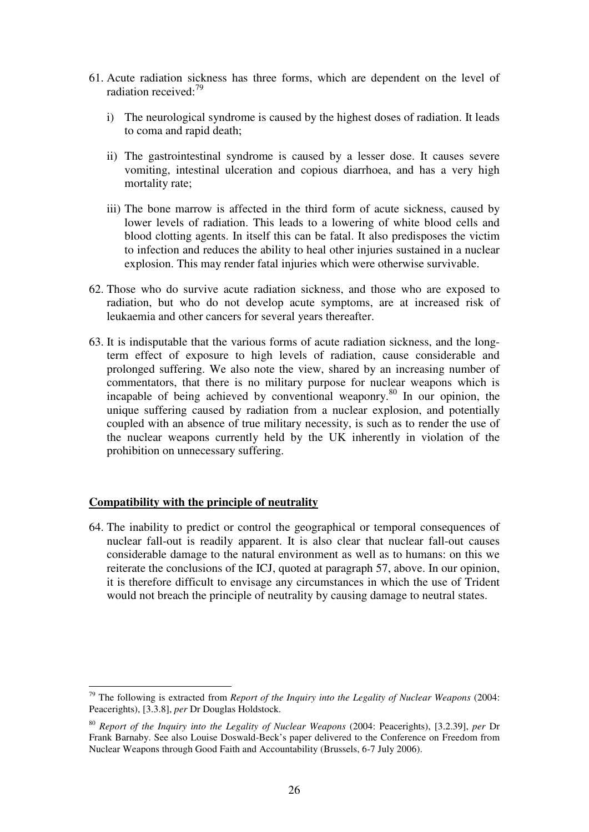- 61. Acute radiation sickness has three forms, which are dependent on the level of radiation received:<sup>79</sup>
	- i) The neurological syndrome is caused by the highest doses of radiation. It leads to coma and rapid death;
	- ii) The gastrointestinal syndrome is caused by a lesser dose. It causes severe vomiting, intestinal ulceration and copious diarrhoea, and has a very high mortality rate;
	- iii) The bone marrow is affected in the third form of acute sickness, caused by lower levels of radiation. This leads to a lowering of white blood cells and blood clotting agents. In itself this can be fatal. It also predisposes the victim to infection and reduces the ability to heal other injuries sustained in a nuclear explosion. This may render fatal injuries which were otherwise survivable.
- 62. Those who do survive acute radiation sickness, and those who are exposed to radiation, but who do not develop acute symptoms, are at increased risk of leukaemia and other cancers for several years thereafter.
- 63. It is indisputable that the various forms of acute radiation sickness, and the longterm effect of exposure to high levels of radiation, cause considerable and prolonged suffering. We also note the view, shared by an increasing number of commentators, that there is no military purpose for nuclear weapons which is incapable of being achieved by conventional weaponry.<sup>80</sup> In our opinion, the unique suffering caused by radiation from a nuclear explosion, and potentially coupled with an absence of true military necessity, is such as to render the use of the nuclear weapons currently held by the UK inherently in violation of the prohibition on unnecessary suffering.

### **Compatibility with the principle of neutrality**

-

64. The inability to predict or control the geographical or temporal consequences of nuclear fall-out is readily apparent. It is also clear that nuclear fall-out causes considerable damage to the natural environment as well as to humans: on this we reiterate the conclusions of the ICJ, quoted at paragraph 57, above. In our opinion, it is therefore difficult to envisage any circumstances in which the use of Trident would not breach the principle of neutrality by causing damage to neutral states.

<sup>79</sup> The following is extracted from *Report of the Inquiry into the Legality of Nuclear Weapons* (2004: Peacerights), [3.3.8], *per* Dr Douglas Holdstock.

<sup>80</sup> *Report of the Inquiry into the Legality of Nuclear Weapons* (2004: Peacerights), [3.2.39], *per* Dr Frank Barnaby. See also Louise Doswald-Beck's paper delivered to the Conference on Freedom from Nuclear Weapons through Good Faith and Accountability (Brussels, 6-7 July 2006).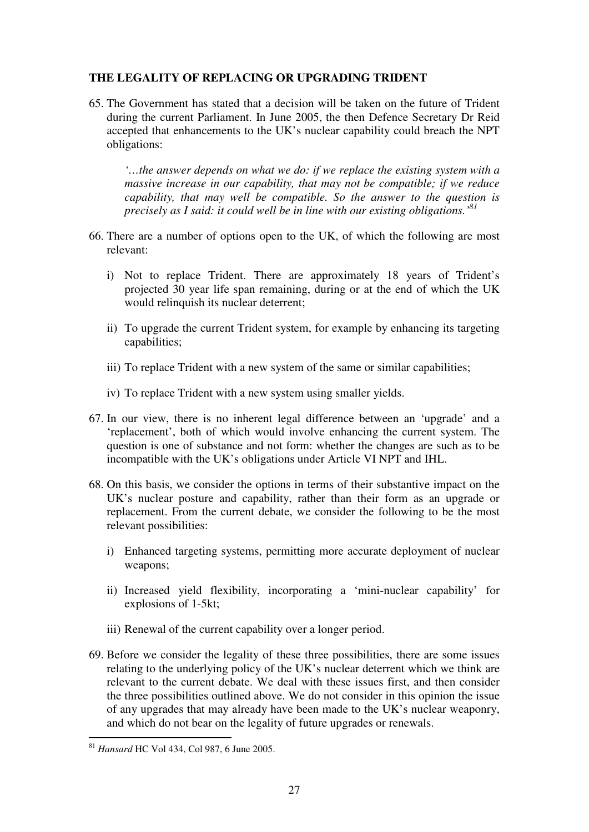## **THE LEGALITY OF REPLACING OR UPGRADING TRIDENT**

65. The Government has stated that a decision will be taken on the future of Trident during the current Parliament. In June 2005, the then Defence Secretary Dr Reid accepted that enhancements to the UK's nuclear capability could breach the NPT obligations:

*'…the answer depends on what we do: if we replace the existing system with a massive increase in our capability, that may not be compatible; if we reduce capability, that may well be compatible. So the answer to the question is precisely as I said: it could well be in line with our existing obligations.'<sup>81</sup>*

- 66. There are a number of options open to the UK, of which the following are most relevant:
	- i) Not to replace Trident. There are approximately 18 years of Trident's projected 30 year life span remaining, during or at the end of which the UK would relinquish its nuclear deterrent;
	- ii) To upgrade the current Trident system, for example by enhancing its targeting capabilities;
	- iii) To replace Trident with a new system of the same or similar capabilities;
	- iv) To replace Trident with a new system using smaller yields.
- 67. In our view, there is no inherent legal difference between an 'upgrade' and a 'replacement', both of which would involve enhancing the current system. The question is one of substance and not form: whether the changes are such as to be incompatible with the UK's obligations under Article VI NPT and IHL.
- 68. On this basis, we consider the options in terms of their substantive impact on the UK's nuclear posture and capability, rather than their form as an upgrade or replacement. From the current debate, we consider the following to be the most relevant possibilities:
	- i) Enhanced targeting systems, permitting more accurate deployment of nuclear weapons;
	- ii) Increased yield flexibility, incorporating a 'mini-nuclear capability' for explosions of 1-5kt;
	- iii) Renewal of the current capability over a longer period.
- 69. Before we consider the legality of these three possibilities, there are some issues relating to the underlying policy of the UK's nuclear deterrent which we think are relevant to the current debate. We deal with these issues first, and then consider the three possibilities outlined above. We do not consider in this opinion the issue of any upgrades that may already have been made to the UK's nuclear weaponry, and which do not bear on the legality of future upgrades or renewals.

<sup>81</sup> *Hansard* HC Vol 434, Col 987, 6 June 2005.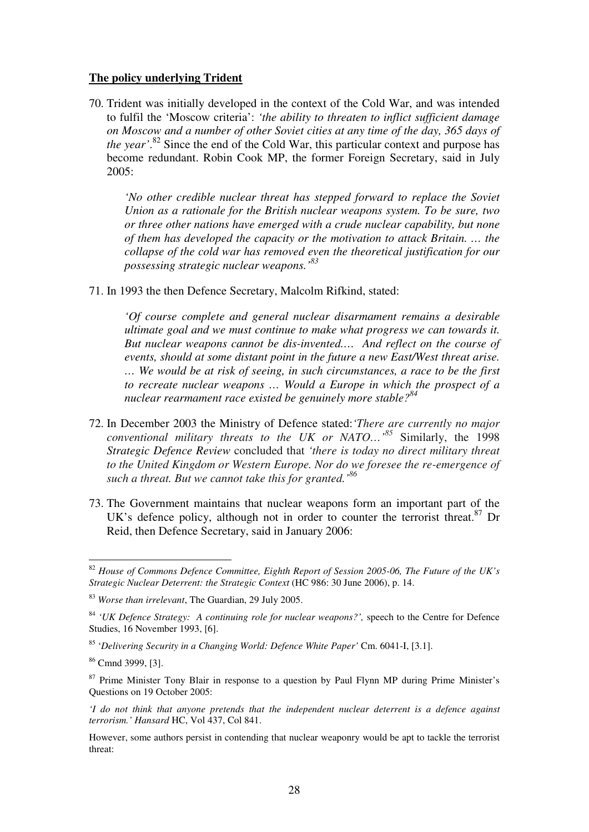#### **The policy underlying Trident**

70. Trident was initially developed in the context of the Cold War, and was intended to fulfil the 'Moscow criteria': *'the ability to threaten to inflict sufficient damage on Moscow and a number of other Soviet cities at any time of the day, 365 days of the year'*. <sup>82</sup> Since the end of the Cold War, this particular context and purpose has become redundant. Robin Cook MP, the former Foreign Secretary, said in July 2005:

*'No other credible nuclear threat has stepped forward to replace the Soviet Union as a rationale for the British nuclear weapons system. To be sure, two or three other nations have emerged with a crude nuclear capability, but none of them has developed the capacity or the motivation to attack Britain. … the collapse of the cold war has removed even the theoretical justification for our possessing strategic nuclear weapons.'<sup>83</sup>*

71. In 1993 the then Defence Secretary, Malcolm Rifkind, stated:

*'Of course complete and general nuclear disarmament remains a desirable ultimate goal and we must continue to make what progress we can towards it. But nuclear weapons cannot be dis-invented.… And reflect on the course of events, should at some distant point in the future a new East/West threat arise. … We would be at risk of seeing, in such circumstances, a race to be the first to recreate nuclear weapons … Would a Europe in which the prospect of a nuclear rearmament race existed be genuinely more stable?<sup>84</sup>*

- 72. In December 2003 the Ministry of Defence stated:*'There are currently no major conventional military threats to the UK or NATO…'<sup>85</sup>* Similarly, the 1998 *Strategic Defence Review* concluded that *'there is today no direct military threat to the United Kingdom or Western Europe. Nor do we foresee the re-emergence of such a threat. But we cannot take this for granted.'<sup>86</sup>*
- 73. The Government maintains that nuclear weapons form an important part of the UK's defence policy, although not in order to counter the terrorist threat.<sup>87</sup> Dr Reid, then Defence Secretary, said in January 2006:

<sup>82</sup> *House of Commons Defence Committee, Eighth Report of Session 2005-06, The Future of the UK's Strategic Nuclear Deterrent: the Strategic Context* (HC 986: 30 June 2006), p. 14.

<sup>83</sup> *Worse than irrelevant*, The Guardian, 29 July 2005.

<sup>84</sup> *'UK Defence Strategy: A continuing role for nuclear weapons?',* speech to the Centre for Defence Studies, 16 November 1993, [6].

<sup>85</sup> '*Delivering Security in a Changing World: Defence White Paper'* Cm. 6041-I, [3.1].

<sup>86</sup> Cmnd 3999, [3].

 $87$  Prime Minister Tony Blair in response to a question by Paul Flynn MP during Prime Minister's Questions on 19 October 2005:

*<sup>&#</sup>x27;I do not think that anyone pretends that the independent nuclear deterrent is a defence against terrorism.' Hansard* HC, Vol 437, Col 841.

However, some authors persist in contending that nuclear weaponry would be apt to tackle the terrorist threat: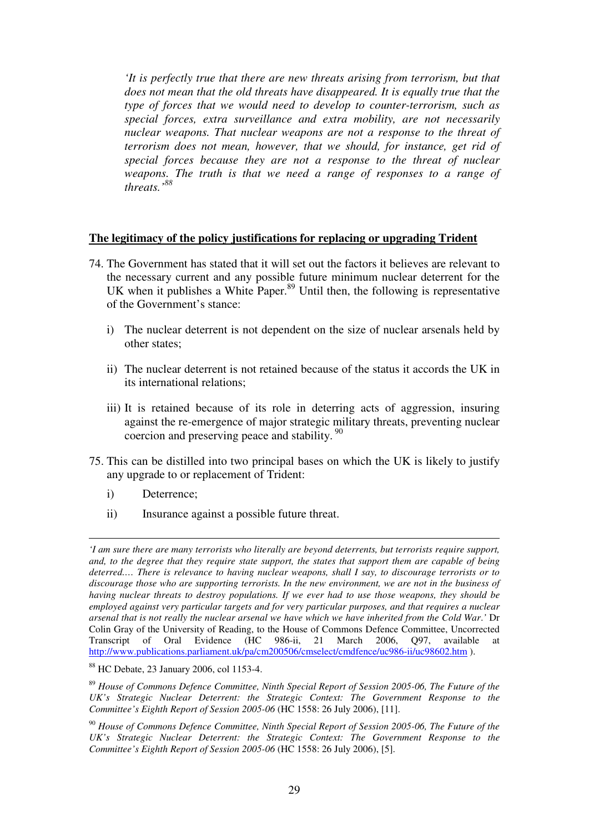*'It is perfectly true that there are new threats arising from terrorism, but that does not mean that the old threats have disappeared. It is equally true that the type of forces that we would need to develop to counter-terrorism, such as special forces, extra surveillance and extra mobility, are not necessarily nuclear weapons. That nuclear weapons are not a response to the threat of terrorism does not mean, however, that we should, for instance, get rid of special forces because they are not a response to the threat of nuclear*  weapons. The truth is that we need a range of responses to a range of *threats.'<sup>88</sup>*

### **The legitimacy of the policy justifications for replacing or upgrading Trident**

- 74. The Government has stated that it will set out the factors it believes are relevant to the necessary current and any possible future minimum nuclear deterrent for the UK when it publishes a White Paper. $89$  Until then, the following is representative of the Government's stance:
	- i) The nuclear deterrent is not dependent on the size of nuclear arsenals held by other states;
	- ii) The nuclear deterrent is not retained because of the status it accords the UK in its international relations;
	- iii) It is retained because of its role in deterring acts of aggression, insuring against the re-emergence of major strategic military threats, preventing nuclear coercion and preserving peace and stability.<sup>90</sup>
- 75. This can be distilled into two principal bases on which the UK is likely to justify any upgrade to or replacement of Trident:
	- i) Deterrence;

<u>.</u>

ii) Insurance against a possible future threat.

*<sup>&#</sup>x27;I am sure there are many terrorists who literally are beyond deterrents, but terrorists require support, and, to the degree that they require state support, the states that support them are capable of being deterred.… There is relevance to having nuclear weapons, shall I say, to discourage terrorists or to discourage those who are supporting terrorists. In the new environment, we are not in the business of having nuclear threats to destroy populations. If we ever had to use those weapons, they should be employed against very particular targets and for very particular purposes, and that requires a nuclear arsenal that is not really the nuclear arsenal we have which we have inherited from the Cold War*.*'* Dr Colin Gray of the University of Reading, to the House of Commons Defence Committee, Uncorrected Transcript of Oral Evidence (HC 986-ii, 21 March 2006, Q97, available at http://www.publications.parliament.uk/pa/cm200506/cmselect/cmdfence/uc986-ii/uc98602.htm ).

<sup>88</sup> HC Debate, 23 January 2006, col 1153-4.

<sup>89</sup> *House of Commons Defence Committee, Ninth Special Report of Session 2005-06, The Future of the UK's Strategic Nuclear Deterrent: the Strategic Context: The Government Response to the Committee's Eighth Report of Session 2005-06* (HC 1558: 26 July 2006), [11].

<sup>90</sup> *House of Commons Defence Committee, Ninth Special Report of Session 2005-06, The Future of the UK's Strategic Nuclear Deterrent: the Strategic Context: The Government Response to the Committee's Eighth Report of Session 2005-06* (HC 1558: 26 July 2006), [5].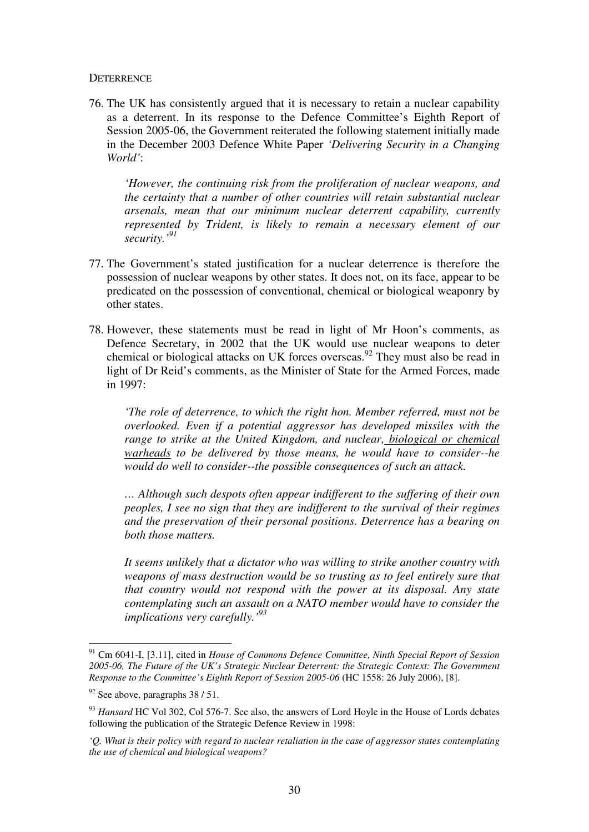**DETERRENCE** 

76. The UK has consistently argued that it is necessary to retain a nuclear capability as a deterrent. In its response to the Defence Committee's Eighth Report of Session 2005-06, the Government reiterated the following statement initially made in the December 2003 Defence White Paper *'Delivering Security in a Changing World'*:

*'However, the continuing risk from the proliferation of nuclear weapons, and the certainty that a number of other countries will retain substantial nuclear arsenals, mean that our minimum nuclear deterrent capability, currently represented by Trident, is likely to remain a necessary element of our security.'<sup>91</sup>*

- 77. The Government's stated justification for a nuclear deterrence is therefore the possession of nuclear weapons by other states. It does not, on its face, appear to be predicated on the possession of conventional, chemical or biological weaponry by other states.
- 78. However, these statements must be read in light of Mr Hoon's comments, as Defence Secretary, in 2002 that the UK would use nuclear weapons to deter chemical or biological attacks on UK forces overseas.<sup>92</sup> They must also be read in light of Dr Reid's comments, as the Minister of State for the Armed Forces, made in 1997:

*'The role of deterrence, to which the right hon. Member referred, must not be overlooked. Even if a potential aggressor has developed missiles with the range to strike at the United Kingdom, and nuclear, biological or chemical warheads to be delivered by those means, he would have to consider--he would do well to consider--the possible consequences of such an attack.* 

*… Although such despots often appear indifferent to the suffering of their own peoples, I see no sign that they are indifferent to the survival of their regimes and the preservation of their personal positions. Deterrence has a bearing on both those matters.* 

*It seems unlikely that a dictator who was willing to strike another country with weapons of mass destruction would be so trusting as to feel entirely sure that that country would not respond with the power at its disposal. Any state contemplating such an assault on a NATO member would have to consider the implications very carefully.'<sup>93</sup>* 

<sup>91</sup> Cm 6041-I, [3.11], cited in *House of Commons Defence Committee, Ninth Special Report of Session 2005-06, The Future of the UK's Strategic Nuclear Deterrent: the Strategic Context: The Government Response to the Committee's Eighth Report of Session 2005-06* (HC 1558: 26 July 2006), [8].

 $92$  See above, paragraphs 38 / 51.

<sup>&</sup>lt;sup>93</sup> *Hansard* HC Vol 302, Col 576-7. See also, the answers of Lord Hoyle in the House of Lords debates following the publication of the Strategic Defence Review in 1998:

*<sup>&#</sup>x27;Q. What is their policy with regard to nuclear retaliation in the case of aggressor states contemplating the use of chemical and biological weapons?*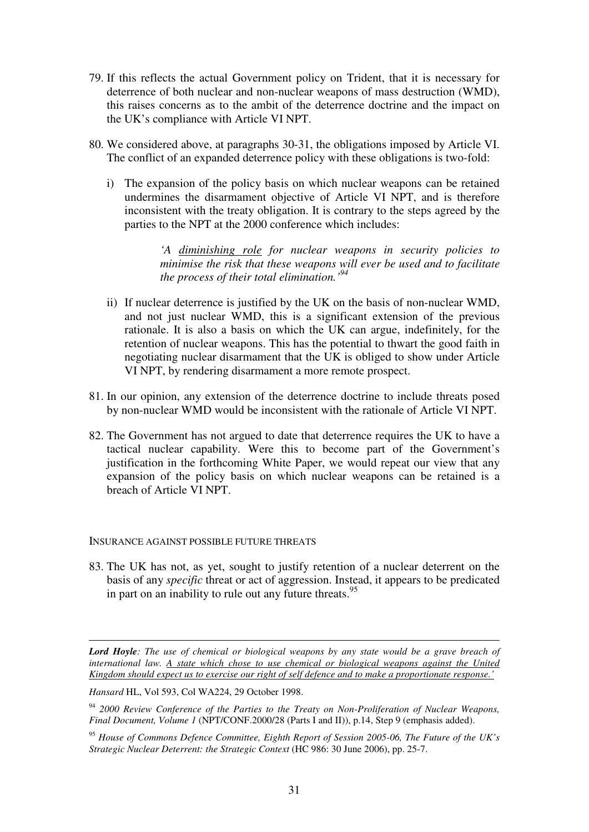- 79. If this reflects the actual Government policy on Trident, that it is necessary for deterrence of both nuclear and non-nuclear weapons of mass destruction (WMD), this raises concerns as to the ambit of the deterrence doctrine and the impact on the UK's compliance with Article VI NPT.
- 80. We considered above, at paragraphs 30-31, the obligations imposed by Article VI. The conflict of an expanded deterrence policy with these obligations is two-fold:
	- i) The expansion of the policy basis on which nuclear weapons can be retained undermines the disarmament objective of Article VI NPT, and is therefore inconsistent with the treaty obligation. It is contrary to the steps agreed by the parties to the NPT at the 2000 conference which includes:

*'A diminishing role for nuclear weapons in security policies to minimise the risk that these weapons will ever be used and to facilitate the process of their total elimination.'<sup>94</sup>*

- ii) If nuclear deterrence is justified by the UK on the basis of non-nuclear WMD, and not just nuclear WMD, this is a significant extension of the previous rationale. It is also a basis on which the UK can argue, indefinitely, for the retention of nuclear weapons. This has the potential to thwart the good faith in negotiating nuclear disarmament that the UK is obliged to show under Article VI NPT, by rendering disarmament a more remote prospect.
- 81. In our opinion, any extension of the deterrence doctrine to include threats posed by non-nuclear WMD would be inconsistent with the rationale of Article VI NPT.
- 82. The Government has not argued to date that deterrence requires the UK to have a tactical nuclear capability. Were this to become part of the Government's justification in the forthcoming White Paper, we would repeat our view that any expansion of the policy basis on which nuclear weapons can be retained is a breach of Article VI NPT.

#### INSURANCE AGAINST POSSIBLE FUTURE THREATS

83. The UK has not, as yet, sought to justify retention of a nuclear deterrent on the basis of any *specific* threat or act of aggression. Instead, it appears to be predicated in part on an inability to rule out any future threats.<sup>95</sup>

*Lord Hoyle: The use of chemical or biological weapons by any state would be a grave breach of international law. A state which chose to use chemical or biological weapons against the United Kingdom should expect us to exercise our right of self defence and to make a proportionate response.'*

*Hansard* HL, Vol 593, Col WA224, 29 October 1998.

<sup>94</sup> *2000 Review Conference of the Parties to the Treaty on Non-Proliferation of Nuclear Weapons, Final Document, Volume 1 (NPT/CONF.2000/28 (Parts I and II)), p.14, Step 9 (emphasis added).* 

<sup>95</sup> *House of Commons Defence Committee, Eighth Report of Session 2005-06, The Future of the UK's Strategic Nuclear Deterrent: the Strategic Context* (HC 986: 30 June 2006), pp. 25-7.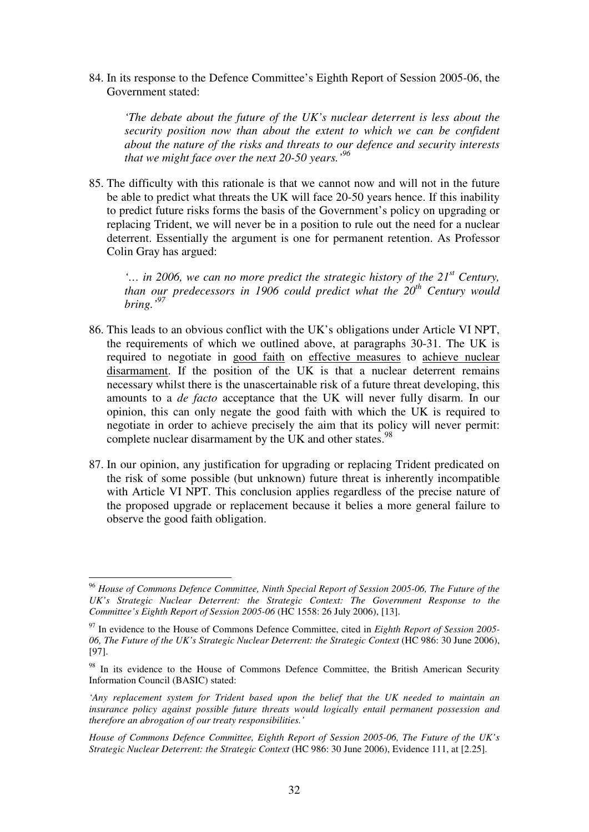84. In its response to the Defence Committee's Eighth Report of Session 2005-06, the Government stated:

*'The debate about the future of the UK's nuclear deterrent is less about the security position now than about the extent to which we can be confident about the nature of the risks and threats to our defence and security interests that we might face over the next 20-50 years.'<sup>96</sup>*

85. The difficulty with this rationale is that we cannot now and will not in the future be able to predict what threats the UK will face 20-50 years hence. If this inability to predict future risks forms the basis of the Government's policy on upgrading or replacing Trident, we will never be in a position to rule out the need for a nuclear deterrent. Essentially the argument is one for permanent retention. As Professor Colin Gray has argued:

*'… in 2006, we can no more predict the strategic history of the 21st Century, than our predecessors in 1906 could predict what the 20th Century would bring.'<sup>97</sup>*

- 86. This leads to an obvious conflict with the UK's obligations under Article VI NPT, the requirements of which we outlined above, at paragraphs 30-31. The UK is required to negotiate in good faith on effective measures to achieve nuclear disarmament. If the position of the UK is that a nuclear deterrent remains necessary whilst there is the unascertainable risk of a future threat developing, this amounts to a *de facto* acceptance that the UK will never fully disarm. In our opinion, this can only negate the good faith with which the UK is required to negotiate in order to achieve precisely the aim that its policy will never permit: complete nuclear disarmament by the UK and other states.<sup>98</sup>
- 87. In our opinion, any justification for upgrading or replacing Trident predicated on the risk of some possible (but unknown) future threat is inherently incompatible with Article VI NPT. This conclusion applies regardless of the precise nature of the proposed upgrade or replacement because it belies a more general failure to observe the good faith obligation.

<sup>96</sup> *House of Commons Defence Committee, Ninth Special Report of Session 2005-06, The Future of the UK's Strategic Nuclear Deterrent: the Strategic Context: The Government Response to the Committee's Eighth Report of Session 2005-06* (HC 1558: 26 July 2006), [13].

<sup>97</sup> In evidence to the House of Commons Defence Committee, cited in *Eighth Report of Session 2005- 06, The Future of the UK's Strategic Nuclear Deterrent: the Strategic Context* (HC 986: 30 June 2006), [97].

<sup>&</sup>lt;sup>98</sup> In its evidence to the House of Commons Defence Committee, the British American Security Information Council (BASIC) stated:

*<sup>&#</sup>x27;Any replacement system for Trident based upon the belief that the UK needed to maintain an insurance policy against possible future threats would logically entail permanent possession and therefore an abrogation of our treaty responsibilities.'*

*House of Commons Defence Committee, Eighth Report of Session 2005-06, The Future of the UK's Strategic Nuclear Deterrent: the Strategic Context* (HC 986: 30 June 2006), Evidence 111, at [2.25].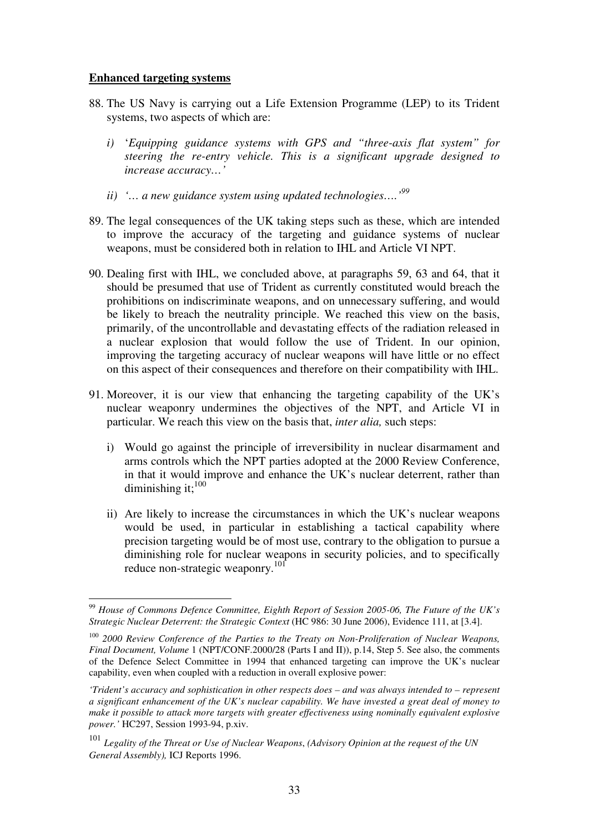#### **Enhanced targeting systems**

- 88. The US Navy is carrying out a Life Extension Programme (LEP) to its Trident systems, two aspects of which are:
	- *i)* '*Equipping guidance systems with GPS and "three-axis flat system" for steering the re-entry vehicle. This is a significant upgrade designed to increase accuracy…'*
	- *ii) '… a new guidance system using updated technologies….'<sup>99</sup>*
- 89. The legal consequences of the UK taking steps such as these, which are intended to improve the accuracy of the targeting and guidance systems of nuclear weapons, must be considered both in relation to IHL and Article VI NPT.
- 90. Dealing first with IHL, we concluded above, at paragraphs 59, 63 and 64, that it should be presumed that use of Trident as currently constituted would breach the prohibitions on indiscriminate weapons, and on unnecessary suffering, and would be likely to breach the neutrality principle. We reached this view on the basis, primarily, of the uncontrollable and devastating effects of the radiation released in a nuclear explosion that would follow the use of Trident. In our opinion, improving the targeting accuracy of nuclear weapons will have little or no effect on this aspect of their consequences and therefore on their compatibility with IHL.
- 91. Moreover, it is our view that enhancing the targeting capability of the UK's nuclear weaponry undermines the objectives of the NPT, and Article VI in particular. We reach this view on the basis that, *inter alia,* such steps:
	- i) Would go against the principle of irreversibility in nuclear disarmament and arms controls which the NPT parties adopted at the 2000 Review Conference, in that it would improve and enhance the UK's nuclear deterrent, rather than diminishing it; $100$
	- ii) Are likely to increase the circumstances in which the UK's nuclear weapons would be used, in particular in establishing a tactical capability where precision targeting would be of most use, contrary to the obligation to pursue a diminishing role for nuclear weapons in security policies, and to specifically reduce non-strategic weaponry.<sup>101</sup>

<sup>99</sup> *House of Commons Defence Committee, Eighth Report of Session 2005-06, The Future of the UK's Strategic Nuclear Deterrent: the Strategic Context* (HC 986: 30 June 2006), Evidence 111, at [3.4].

<sup>&</sup>lt;sup>100</sup> 2000 Review Conference of the Parties to the Treaty on Non-Proliferation of Nuclear Weapons, *Final Document, Volume* 1 (NPT/CONF.2000/28 (Parts I and II)), p.14, Step 5. See also, the comments of the Defence Select Committee in 1994 that enhanced targeting can improve the UK's nuclear capability, even when coupled with a reduction in overall explosive power:

*<sup>&#</sup>x27;Trident's accuracy and sophistication in other respects does – and was always intended to – represent a significant enhancement of the UK's nuclear capability. We have invested a great deal of money to make it possible to attack more targets with greater effectiveness using nominally equivalent explosive power.'* HC297, Session 1993-94, p.xiv.

<sup>101</sup> *Legality of the Threat or Use of Nuclear Weapons*, *(Advisory Opinion at the request of the UN General Assembly),* ICJ Reports 1996.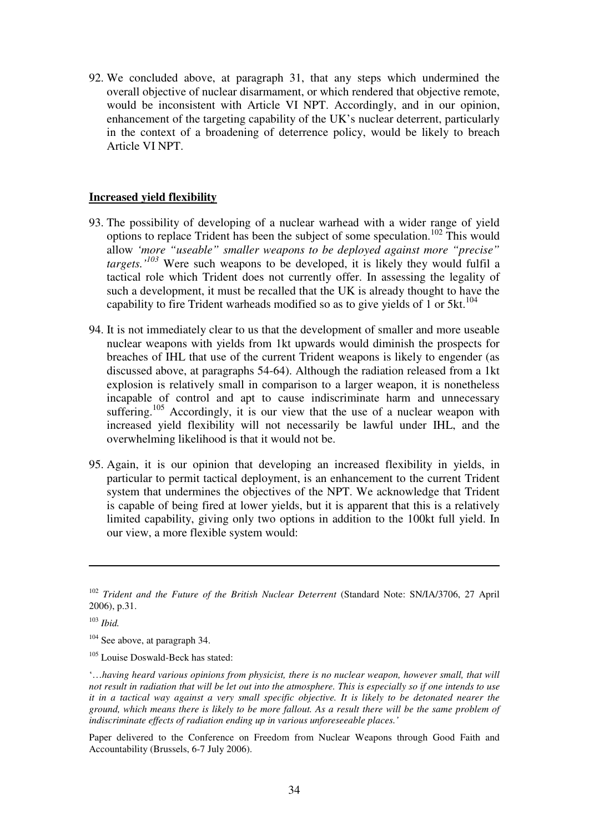92. We concluded above, at paragraph 31, that any steps which undermined the overall objective of nuclear disarmament, or which rendered that objective remote, would be inconsistent with Article VI NPT. Accordingly, and in our opinion, enhancement of the targeting capability of the UK's nuclear deterrent, particularly in the context of a broadening of deterrence policy, would be likely to breach Article VI NPT.

### **Increased yield flexibility**

- 93. The possibility of developing of a nuclear warhead with a wider range of yield options to replace Trident has been the subject of some speculation.<sup>102</sup> This would allow *'more "useable" smaller weapons to be deployed against more "precise" targets.'<sup>103</sup>* Were such weapons to be developed, it is likely they would fulfil a tactical role which Trident does not currently offer. In assessing the legality of such a development, it must be recalled that the UK is already thought to have the capability to fire Trident warheads modified so as to give yields of 1 or 5kt.<sup>104</sup>
- 94. It is not immediately clear to us that the development of smaller and more useable nuclear weapons with yields from 1kt upwards would diminish the prospects for breaches of IHL that use of the current Trident weapons is likely to engender (as discussed above, at paragraphs 54-64). Although the radiation released from a 1kt explosion is relatively small in comparison to a larger weapon, it is nonetheless incapable of control and apt to cause indiscriminate harm and unnecessary suffering.<sup>105</sup> Accordingly, it is our view that the use of a nuclear weapon with increased yield flexibility will not necessarily be lawful under IHL, and the overwhelming likelihood is that it would not be.
- 95. Again, it is our opinion that developing an increased flexibility in yields, in particular to permit tactical deployment, is an enhancement to the current Trident system that undermines the objectives of the NPT. We acknowledge that Trident is capable of being fired at lower yields, but it is apparent that this is a relatively limited capability, giving only two options in addition to the 100kt full yield. In our view, a more flexible system would:

<sup>103</sup> *Ibid.* 

-

<sup>104</sup> See above, at paragraph 34.

<sup>105</sup> Louise Doswald-Beck has stated:

'…*having heard various opinions from physicist, there is no nuclear weapon, however small, that will not result in radiation that will be let out into the atmosphere. This is especially so if one intends to use it in a tactical way against a very small specific objective. It is likely to be detonated nearer the ground, which means there is likely to be more fallout. As a result there will be the same problem of indiscriminate effects of radiation ending up in various unforeseeable places.'* 

Paper delivered to the Conference on Freedom from Nuclear Weapons through Good Faith and Accountability (Brussels, 6-7 July 2006).

<sup>102</sup> *Trident and the Future of the British Nuclear Deterrent* (Standard Note: SN/IA/3706, 27 April 2006), p.31.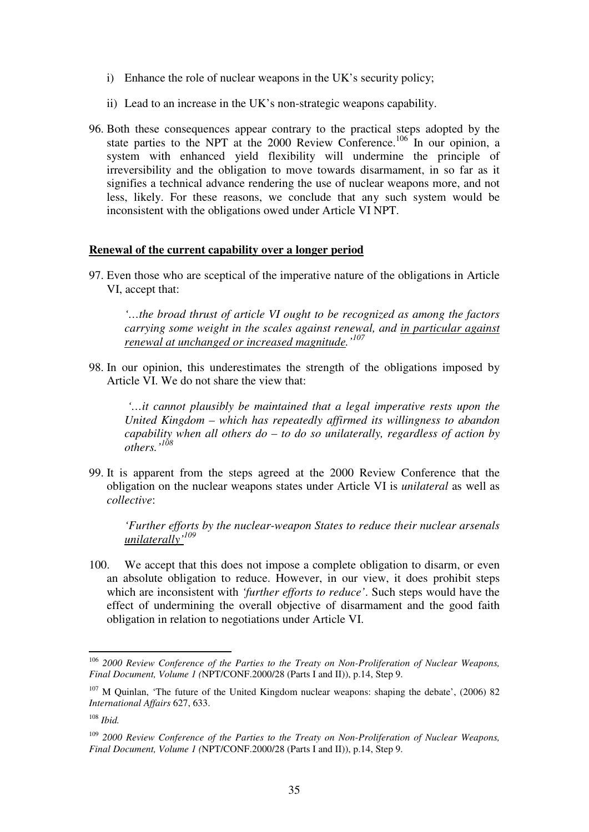- i) Enhance the role of nuclear weapons in the UK's security policy;
- ii) Lead to an increase in the UK's non-strategic weapons capability.
- 96. Both these consequences appear contrary to the practical steps adopted by the state parties to the NPT at the  $2000$  Review Conference.<sup>106</sup> In our opinion, a system with enhanced yield flexibility will undermine the principle of irreversibility and the obligation to move towards disarmament, in so far as it signifies a technical advance rendering the use of nuclear weapons more, and not less, likely. For these reasons, we conclude that any such system would be inconsistent with the obligations owed under Article VI NPT.

#### **Renewal of the current capability over a longer period**

97. Even those who are sceptical of the imperative nature of the obligations in Article VI, accept that:

*'…the broad thrust of article VI ought to be recognized as among the factors carrying some weight in the scales against renewal, and in particular against renewal at unchanged or increased magnitude.'<sup>107</sup>*

98. In our opinion, this underestimates the strength of the obligations imposed by Article VI. We do not share the view that:

 *'…it cannot plausibly be maintained that a legal imperative rests upon the United Kingdom – which has repeatedly affirmed its willingness to abandon capability when all others do – to do so unilaterally, regardless of action by others.'<sup>108</sup>*

99. It is apparent from the steps agreed at the 2000 Review Conference that the obligation on the nuclear weapons states under Article VI is *unilateral* as well as *collective*:

*'Further efforts by the nuclear-weapon States to reduce their nuclear arsenals unilaterally'<sup>109</sup>*

100. We accept that this does not impose a complete obligation to disarm, or even an absolute obligation to reduce. However, in our view, it does prohibit steps which are inconsistent with *'further efforts to reduce'*. Such steps would have the effect of undermining the overall objective of disarmament and the good faith obligation in relation to negotiations under Article VI.

<sup>-</sup><sup>106</sup> *2000 Review Conference of the Parties to the Treaty on Non-Proliferation of Nuclear Weapons, Final Document, Volume 1 (*NPT/CONF.2000/28 (Parts I and II)), p.14, Step 9.

 $107$  M Quinlan, 'The future of the United Kingdom nuclear weapons: shaping the debate', (2006) 82 *International Affairs* 627, 633.

<sup>108</sup> *Ibid.*

<sup>109</sup> *2000 Review Conference of the Parties to the Treaty on Non-Proliferation of Nuclear Weapons, Final Document, Volume 1 (*NPT/CONF.2000/28 (Parts I and II)), p.14, Step 9.